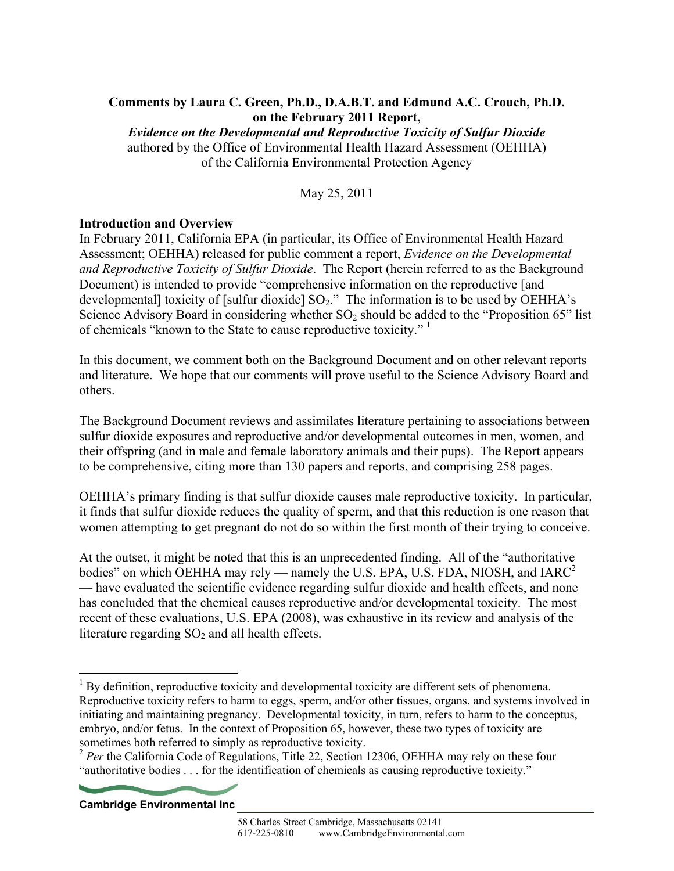## **Comments by Laura C. Green, Ph.D., D.A.B.T. and Edmund A.C. Crouch, Ph.D. on the February 2011 Report,**

*Evidence on the Developmental and Reproductive Toxicity of Sulfur Dioxide*  authored by the Office of Environmental Health Hazard Assessment (OEHHA) of the California Environmental Protection Agency

May 25, 2011

# **Introduction and Overview**

In February 2011, California EPA (in particular, its Office of Environmental Health Hazard Assessment; OEHHA) released for public comment a report, *Evidence on the Developmental and Reproductive Toxicity of Sulfur Dioxide*. The Report (herein referred to as the Background Document) is intended to provide "comprehensive information on the reproductive [and developmental] toxicity of [sulfur dioxide]  $SO_2$ ." The information is to be used by OEHHA's Science Advisory Board in considering whether  $SO_2$  should be added to the "Proposition 65" list of chemicals "known to the State to cause reproductive toxicity."<sup>1</sup>

In this document, we comment both on the Background Document and on other relevant reports and literature. We hope that our comments will prove useful to the Science Advisory Board and others.

The Background Document reviews and assimilates literature pertaining to associations between sulfur dioxide exposures and reproductive and/or developmental outcomes in men, women, and their offspring (and in male and female laboratory animals and their pups). The Report appears to be comprehensive, citing more than 130 papers and reports, and comprising 258 pages.

OEHHA's primary finding is that sulfur dioxide causes male reproductive toxicity. In particular, it finds that sulfur dioxide reduces the quality of sperm, and that this reduction is one reason that women attempting to get pregnant do not do so within the first month of their trying to conceive.

At the outset, it might be noted that this is an unprecedented finding. All of the "authoritative bodies" on which OEHHA may rely — namely the U.S. EPA, U.S. FDA, NIOSH, and  $IARC<sup>2</sup>$ — have evaluated the scientific evidence regarding sulfur dioxide and health effects, and none has concluded that the chemical causes reproductive and/or developmental toxicity. The most recent of these evaluations, U.S. EPA (2008), was exhaustive in its review and analysis of the literature regarding  $SO<sub>2</sub>$  and all health effects.

**Cambridge Environmental Inc** 

 $\overline{a}$ 

 $<sup>1</sup>$  By definition, reproductive toxicity and developmental toxicity are different sets of phenomena.</sup> Reproductive toxicity refers to harm to eggs, sperm, and/or other tissues, organs, and systems involved in initiating and maintaining pregnancy. Developmental toxicity, in turn, refers to harm to the conceptus, embryo, and/or fetus. In the context of Proposition 65, however, these two types of toxicity are sometimes both referred to simply as reproductive toxicity.

<sup>&</sup>lt;sup>2</sup> Per the California Code of Regulations, Title 22, Section 12306, OEHHA may rely on these four "authoritative bodies . . . for the identification of chemicals as causing reproductive toxicity."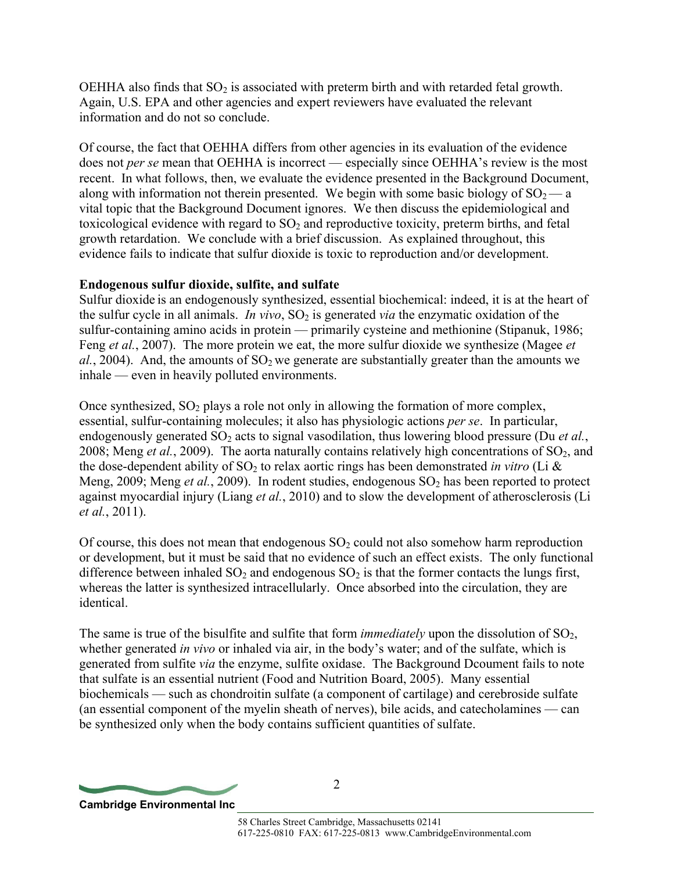OEHHA also finds that  $SO_2$  is associated with preterm birth and with retarded fetal growth. Again, U.S. EPA and other agencies and expert reviewers have evaluated the relevant information and do not so conclude.

Of course, the fact that OEHHA differs from other agencies in its evaluation of the evidence does not *per se* mean that OEHHA is incorrect — especially since OEHHA's review is the most recent. In what follows, then, we evaluate the evidence presented in the Background Document, along with information not therein presented. We begin with some basic biology of  $SO_2$ —a vital topic that the Background Document ignores. We then discuss the epidemiological and toxicological evidence with regard to  $SO<sub>2</sub>$  and reproductive toxicity, preterm births, and fetal growth retardation. We conclude with a brief discussion. As explained throughout, this evidence fails to indicate that sulfur dioxide is toxic to reproduction and/or development.

## **Endogenous sulfur dioxide, sulfite, and sulfate**

Sulfur dioxide is an endogenously synthesized, essential biochemical: indeed, it is at the heart of the sulfur cycle in all animals. *In vivo*,  $SO_2$  is generated *via* the enzymatic oxidation of the sulfur-containing amino acids in protein — primarily cysteine and methionine (Stipanuk, 1986; Feng *et al.*, 2007). The more protein we eat, the more sulfur dioxide we synthesize (Magee *et*   $al.$ , 2004). And, the amounts of  $SO<sub>2</sub>$  we generate are substantially greater than the amounts we inhale — even in heavily polluted environments.

Once synthesized,  $SO_2$  plays a role not only in allowing the formation of more complex, essential, sulfur-containing molecules; it also has physiologic actions *per se*. In particular, endogenously generated SO<sub>2</sub> acts to signal vasodilation, thus lowering blood pressure (Du *et al.*, 2008; Meng *et al.*, 2009). The aorta naturally contains relatively high concentrations of  $SO_2$ , and the dose-dependent ability of  $SO_2$  to relax aortic rings has been demonstrated *in vitro* (Li  $\&$ Meng,  $2009$ ; Meng *et al.*,  $2009$ ). In rodent studies, endogenous  $SO_2$  has been reported to protect against myocardial injury (Liang *et al.*, 2010) and to slow the development of atherosclerosis (Li *et al.*, 2011).

Of course, this does not mean that endogenous  $SO<sub>2</sub>$  could not also somehow harm reproduction or development, but it must be said that no evidence of such an effect exists. The only functional difference between inhaled  $SO_2$  and endogenous  $SO_2$  is that the former contacts the lungs first, whereas the latter is synthesized intracellularly. Once absorbed into the circulation, they are identical.

The same is true of the bisulfite and sulfite that form *immediately* upon the dissolution of  $SO_2$ , whether generated *in vivo* or inhaled via air, in the body's water; and of the sulfate, which is generated from sulfite *via* the enzyme, sulfite oxidase. The Background Dcoument fails to note that sulfate is an essential nutrient (Food and Nutrition Board, 2005). Many essential biochemicals — such as chondroitin sulfate (a component of cartilage) and cerebroside sulfate (an essential component of the myelin sheath of nerves), bile acids, and catecholamines — can be synthesized only when the body contains sufficient quantities of sulfate.

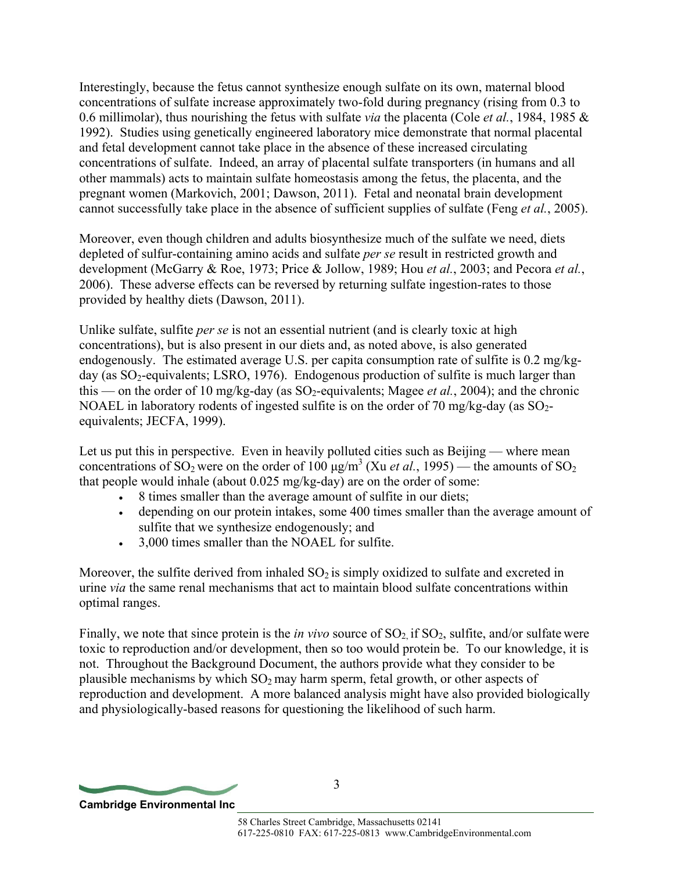Interestingly, because the fetus cannot synthesize enough sulfate on its own, maternal blood concentrations of sulfate increase approximately two-fold during pregnancy (rising from 0.3 to 0.6 millimolar), thus nourishing the fetus with sulfate *via* the placenta (Cole *et al.*, 1984, 1985 & 1992). Studies using genetically engineered laboratory mice demonstrate that normal placental and fetal development cannot take place in the absence of these increased circulating concentrations of sulfate. Indeed, an array of placental sulfate transporters (in humans and all other mammals) acts to maintain sulfate homeostasis among the fetus, the placenta, and the pregnant women (Markovich, 2001; Dawson, 2011). Fetal and neonatal brain development cannot successfully take place in the absence of sufficient supplies of sulfate (Feng *et al.*, 2005).

Moreover, even though children and adults biosynthesize much of the sulfate we need, diets depleted of sulfur-containing amino acids and sulfate *per se* result in restricted growth and development (McGarry & Roe, 1973; Price & Jollow, 1989; Hou *et al.*, 2003; and Pecora *et al.*, 2006). These adverse effects can be reversed by returning sulfate ingestion-rates to those provided by healthy diets (Dawson, 2011).

Unlike sulfate, sulfite *per se* is not an essential nutrient (and is clearly toxic at high concentrations), but is also present in our diets and, as noted above, is also generated endogenously. The estimated average U.S. per capita consumption rate of sulfite is 0.2 mg/kgday (as  $SO_2$ -equivalents; LSRO, 1976). Endogenous production of sulfite is much larger than this — on the order of 10 mg/kg-day (as  $SO_2$ -equivalents; Magee *et al.*, 2004); and the chronic NOAEL in laboratory rodents of ingested sulfite is on the order of 70 mg/kg-day (as  $SO_2$ equivalents; JECFA, 1999).

Let us put this in perspective. Even in heavily polluted cities such as Beijing — where mean concentrations of SO<sub>2</sub> were on the order of  $100 \mu g/m^3$  (Xu *et al.*, 1995) — the amounts of SO<sub>2</sub> that people would inhale (about 0.025 mg/kg-day) are on the order of some:

- 8 times smaller than the average amount of sulfite in our diets;
- depending on our protein intakes, some 400 times smaller than the average amount of sulfite that we synthesize endogenously; and
- 3,000 times smaller than the NOAEL for sulfite.

Moreover, the sulfite derived from inhaled  $SO<sub>2</sub>$  is simply oxidized to sulfate and excreted in urine *via* the same renal mechanisms that act to maintain blood sulfate concentrations within optimal ranges.

Finally, we note that since protein is the *in vivo* source of  $SO_2$  if  $SO_2$ , sulfite, and/or sulfate were toxic to reproduction and/or development, then so too would protein be. To our knowledge, it is not. Throughout the Background Document, the authors provide what they consider to be plausible mechanisms by which  $SO_2$  may harm sperm, fetal growth, or other aspects of reproduction and development. A more balanced analysis might have also provided biologically and physiologically-based reasons for questioning the likelihood of such harm.

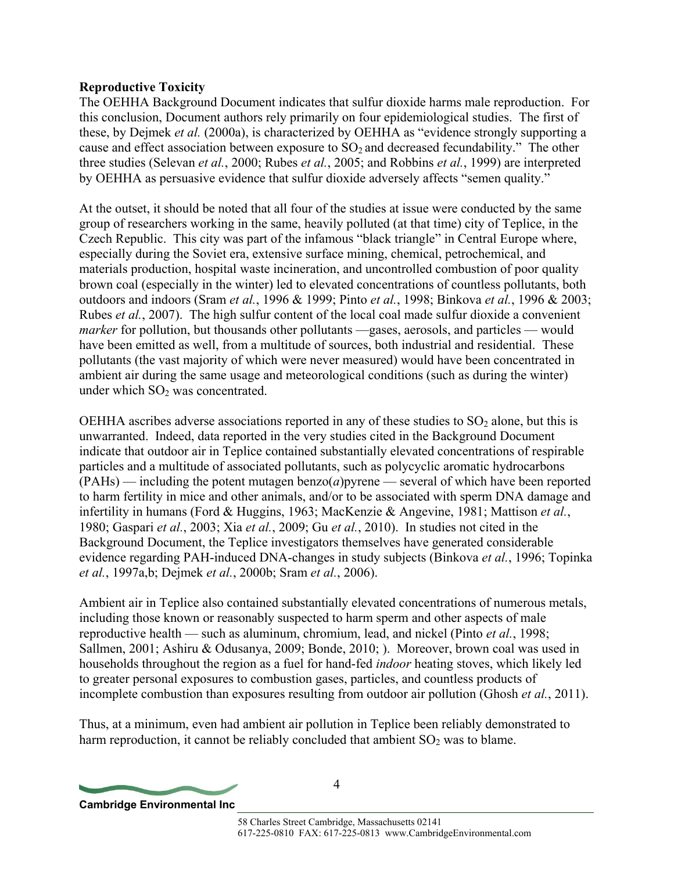## **Reproductive Toxicity**

The OEHHA Background Document indicates that sulfur dioxide harms male reproduction. For this conclusion, Document authors rely primarily on four epidemiological studies. The first of these, by Dejmek *et al.* (2000a), is characterized by OEHHA as "evidence strongly supporting a cause and effect association between exposure to  $SO_2$  and decreased fecundability." The other three studies (Selevan *et al.*, 2000; Rubes *et al.*, 2005; and Robbins *et al.*, 1999) are interpreted by OEHHA as persuasive evidence that sulfur dioxide adversely affects "semen quality."

At the outset, it should be noted that all four of the studies at issue were conducted by the same group of researchers working in the same, heavily polluted (at that time) city of Teplice, in the Czech Republic. This city was part of the infamous "black triangle" in Central Europe where, especially during the Soviet era, extensive surface mining, chemical, petrochemical, and materials production, hospital waste incineration, and uncontrolled combustion of poor quality brown coal (especially in the winter) led to elevated concentrations of countless pollutants, both outdoors and indoors (Sram *et al.*, 1996 & 1999; Pinto *et al.*, 1998; Binkova *et al.*, 1996 & 2003; Rubes *et al.*, 2007). The high sulfur content of the local coal made sulfur dioxide a convenient *marker* for pollution, but thousands other pollutants —gases, aerosols, and particles — would have been emitted as well, from a multitude of sources, both industrial and residential. These pollutants (the vast majority of which were never measured) would have been concentrated in ambient air during the same usage and meteorological conditions (such as during the winter) under which  $SO<sub>2</sub>$  was concentrated.

OEHHA ascribes adverse associations reported in any of these studies to  $SO<sub>2</sub>$  alone, but this is unwarranted. Indeed, data reported in the very studies cited in the Background Document indicate that outdoor air in Teplice contained substantially elevated concentrations of respirable particles and a multitude of associated pollutants, such as polycyclic aromatic hydrocarbons (PAHs) — including the potent mutagen benzo(*a*)pyrene — several of which have been reported to harm fertility in mice and other animals, and/or to be associated with sperm DNA damage and infertility in humans (Ford & Huggins, 1963; MacKenzie & Angevine, 1981; Mattison *et al.*, 1980; Gaspari *et al.*, 2003; Xia *et al.*, 2009; Gu *et al.*, 2010). In studies not cited in the Background Document, the Teplice investigators themselves have generated considerable evidence regarding PAH-induced DNA-changes in study subjects (Binkova *et al.*, 1996; Topinka *et al.*, 1997a,b; Dejmek *et al.*, 2000b; Sram *et al.*, 2006).

Ambient air in Teplice also contained substantially elevated concentrations of numerous metals, including those known or reasonably suspected to harm sperm and other aspects of male reproductive health — such as aluminum, chromium, lead, and nickel (Pinto *et al.*, 1998; Sallmen, 2001; Ashiru & Odusanya, 2009; Bonde, 2010; ). Moreover, brown coal was used in households throughout the region as a fuel for hand-fed *indoor* heating stoves, which likely led to greater personal exposures to combustion gases, particles, and countless products of incomplete combustion than exposures resulting from outdoor air pollution (Ghosh *et al.*, 2011).

Thus, at a minimum, even had ambient air pollution in Teplice been reliably demonstrated to harm reproduction, it cannot be reliably concluded that ambient  $SO<sub>2</sub>$  was to blame.

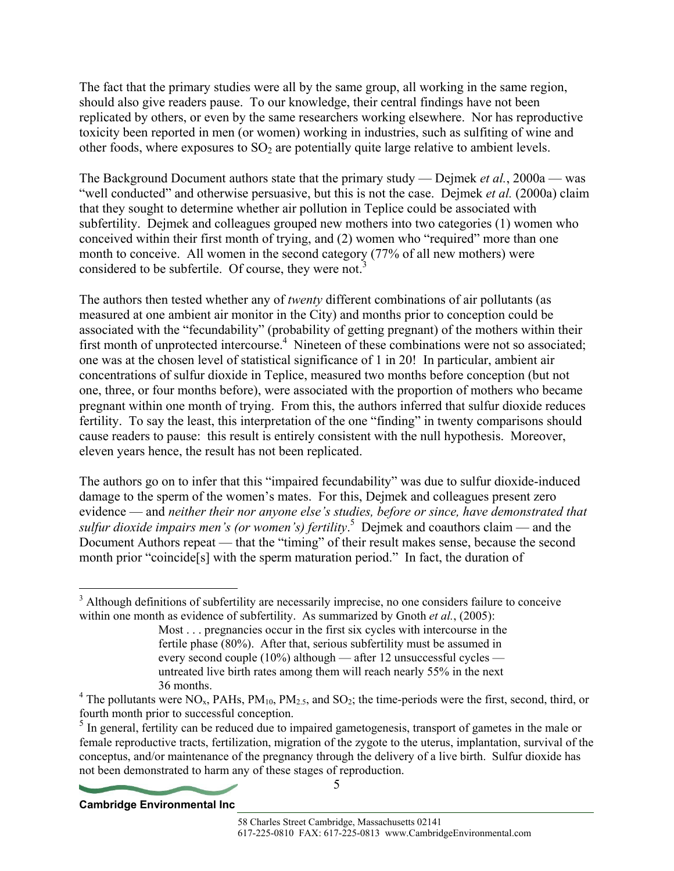The fact that the primary studies were all by the same group, all working in the same region, should also give readers pause. To our knowledge, their central findings have not been replicated by others, or even by the same researchers working elsewhere. Nor has reproductive toxicity been reported in men (or women) working in industries, such as sulfiting of wine and other foods, where exposures to  $SO<sub>2</sub>$  are potentially quite large relative to ambient levels.

The Background Document authors state that the primary study — Dejmek *et al.*, 2000a — was "well conducted" and otherwise persuasive, but this is not the case. Dejmek *et al.* (2000a) claim that they sought to determine whether air pollution in Teplice could be associated with subfertility. Dejmek and colleagues grouped new mothers into two categories (1) women who conceived within their first month of trying, and (2) women who "required" more than one month to conceive. All women in the second category (77% of all new mothers) were considered to be subfertile. Of course, they were not.<sup>3</sup>

The authors then tested whether any of *twenty* different combinations of air pollutants (as measured at one ambient air monitor in the City) and months prior to conception could be associated with the "fecundability" (probability of getting pregnant) of the mothers within their first month of unprotected intercourse.<sup>4</sup> Nineteen of these combinations were not so associated; one was at the chosen level of statistical significance of 1 in 20! In particular, ambient air concentrations of sulfur dioxide in Teplice, measured two months before conception (but not one, three, or four months before), were associated with the proportion of mothers who became pregnant within one month of trying. From this, the authors inferred that sulfur dioxide reduces fertility. To say the least, this interpretation of the one "finding" in twenty comparisons should cause readers to pause: this result is entirely consistent with the null hypothesis. Moreover, eleven years hence, the result has not been replicated.

The authors go on to infer that this "impaired fecundability" was due to sulfur dioxide-induced damage to the sperm of the women's mates. For this, Dejmek and colleagues present zero evidence — and *neither their nor anyone else's studies, before or since, have demonstrated that sulfur dioxide impairs men's (or women's) fertility*. 5 Dejmek and coauthors claim — and the Document Authors repeat — that the "timing" of their result makes sense, because the second month prior "coincide[s] with the sperm maturation period." In fact, the duration of

5



 $\overline{a}$ 

<sup>&</sup>lt;sup>3</sup> Although definitions of subfertility are necessarily imprecise, no one considers failure to conceive within one month as evidence of subfertility. As summarized by Gnoth *et al.*, (2005):

Most . . . pregnancies occur in the first six cycles with intercourse in the fertile phase (80%). After that, serious subfertility must be assumed in every second couple (10%) although — after 12 unsuccessful cycles untreated live birth rates among them will reach nearly 55% in the next 36 months.

<sup>&</sup>lt;sup>4</sup> The pollutants were NO<sub>x</sub>, PAHs, PM<sub>10</sub>, PM<sub>2.5</sub>, and SO<sub>2</sub>; the time-periods were the first, second, third, or fourth month prior to successful conception.<br><sup>5</sup> In general, fertility can be reduced due to impaired gametogenesis, transport of gametes in the male or

female reproductive tracts, fertilization, migration of the zygote to the uterus, implantation, survival of the conceptus, and/or maintenance of the pregnancy through the delivery of a live birth. Sulfur dioxide has not been demonstrated to harm any of these stages of reproduction.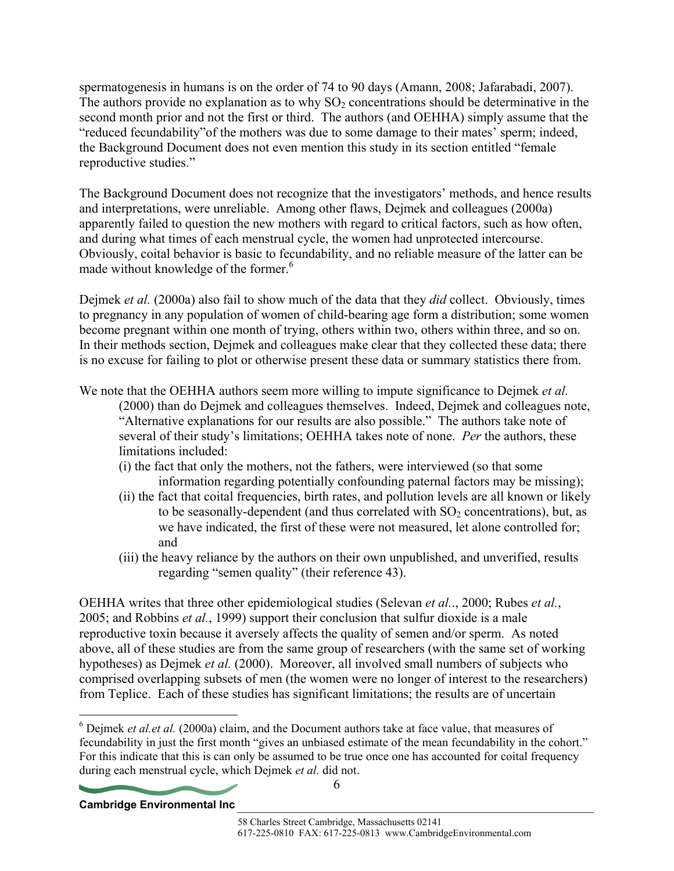spermatogenesis in humans is on the order of 74 to 90 days (Amann, 2008; Jafarabadi, 2007). The authors provide no explanation as to why  $SO<sub>2</sub>$  concentrations should be determinative in the second month prior and not the first or third. The authors (and OEHHA) simply assume that the "reduced fecundability"of the mothers was due to some damage to their mates' sperm; indeed, the Background Document does not even mention this study in its section entitled "female reproductive studies."

The Background Document does not recognize that the investigators' methods, and hence results and interpretations, were unreliable. Among other flaws, Dejmek and colleagues (2000a) apparently failed to question the new mothers with regard to critical factors, such as how often, and during what times of each menstrual cycle, the women had unprotected intercourse. Obviously, coital behavior is basic to fecundability, and no reliable measure of the latter can be made without knowledge of the former.<sup>6</sup>

Dejmek *et al.* (2000a) also fail to show much of the data that they *did* collect. Obviously, times to pregnancy in any population of women of child-bearing age form a distribution; some women become pregnant within one month of trying, others within two, others within three, and so on. In their methods section, Dejmek and colleagues make clear that they collected these data; there is no excuse for failing to plot or otherwise present these data or summary statistics there from.

We note that the OEHHA authors seem more willing to impute significance to Dejmek *et al.* (2000) than do Dejmek and colleagues themselves. Indeed, Dejmek and colleagues note, "Alternative explanations for our results are also possible." The authors take note of several of their study's limitations; OEHHA takes note of none. *Per* the authors, these limitations included:

- (i) the fact that only the mothers, not the fathers, were interviewed (so that some information regarding potentially confounding paternal factors may be missing);
- (ii) the fact that coital frequencies, birth rates, and pollution levels are all known or likely to be seasonally-dependent (and thus correlated with  $SO<sub>2</sub>$  concentrations), but, as we have indicated, the first of these were not measured, let alone controlled for; and
- (iii) the heavy reliance by the authors on their own unpublished, and unverified, results regarding "semen quality" (their reference 43).

OEHHA writes that three other epidemiological studies (Selevan *et al.*., 2000; Rubes *et al.*, 2005; and Robbins *et al.*, 1999) support their conclusion that sulfur dioxide is a male reproductive toxin because it aversely affects the quality of semen and/or sperm. As noted above, all of these studies are from the same group of researchers (with the same set of working hypotheses) as Dejmek *et al.* (2000). Moreover, all involved small numbers of subjects who comprised overlapping subsets of men (the women were no longer of interest to the researchers) from Teplice. Each of these studies has significant limitations; the results are of uncertain

<sup>&</sup>lt;sup>6</sup> Dejmek *et al.et al.* (2000a) claim, and the Document authors take at face value, that measures of fecundability in just the first month "gives an unbiased estimate of the mean fecundability in the cohort." For this indicate that this is can only be assumed to be true once one has accounted for coital frequency during each menstrual cycle, which Dejmek *et al.* did not.



 $\overline{a}$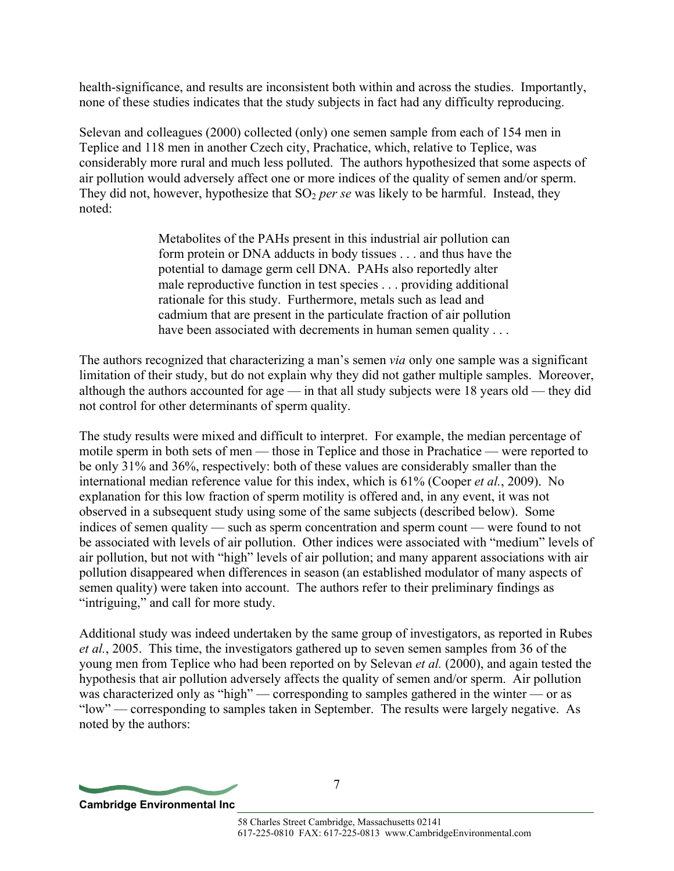health-significance, and results are inconsistent both within and across the studies. Importantly, none of these studies indicates that the study subjects in fact had any difficulty reproducing.

Selevan and colleagues (2000) collected (only) one semen sample from each of 154 men in Teplice and 118 men in another Czech city, Prachatice, which, relative to Teplice, was considerably more rural and much less polluted. The authors hypothesized that some aspects of air pollution would adversely affect one or more indices of the quality of semen and/or sperm. They did not, however, hypothesize that  $SO<sub>2</sub>$  *per se* was likely to be harmful. Instead, they noted:

> Metabolites of the PAHs present in this industrial air pollution can form protein or DNA adducts in body tissues . . . and thus have the potential to damage germ cell DNA. PAHs also reportedly alter male reproductive function in test species . . . providing additional rationale for this study. Furthermore, metals such as lead and cadmium that are present in the particulate fraction of air pollution have been associated with decrements in human semen quality . . .

The authors recognized that characterizing a man's semen *via* only one sample was a significant limitation of their study, but do not explain why they did not gather multiple samples. Moreover, although the authors accounted for age — in that all study subjects were 18 years old — they did not control for other determinants of sperm quality.

The study results were mixed and difficult to interpret. For example, the median percentage of motile sperm in both sets of men — those in Teplice and those in Prachatice — were reported to be only 31% and 36%, respectively: both of these values are considerably smaller than the international median reference value for this index, which is 61% (Cooper *et al.*, 2009). No explanation for this low fraction of sperm motility is offered and, in any event, it was not observed in a subsequent study using some of the same subjects (described below). Some indices of semen quality — such as sperm concentration and sperm count — were found to not be associated with levels of air pollution. Other indices were associated with "medium" levels of air pollution, but not with "high" levels of air pollution; and many apparent associations with air pollution disappeared when differences in season (an established modulator of many aspects of semen quality) were taken into account. The authors refer to their preliminary findings as "intriguing," and call for more study.

Additional study was indeed undertaken by the same group of investigators, as reported in Rubes *et al.*, 2005. This time, the investigators gathered up to seven semen samples from 36 of the young men from Teplice who had been reported on by Selevan *et al.* (2000), and again tested the hypothesis that air pollution adversely affects the quality of semen and/or sperm. Air pollution was characterized only as "high" — corresponding to samples gathered in the winter — or as "low" — corresponding to samples taken in September. The results were largely negative. As noted by the authors:

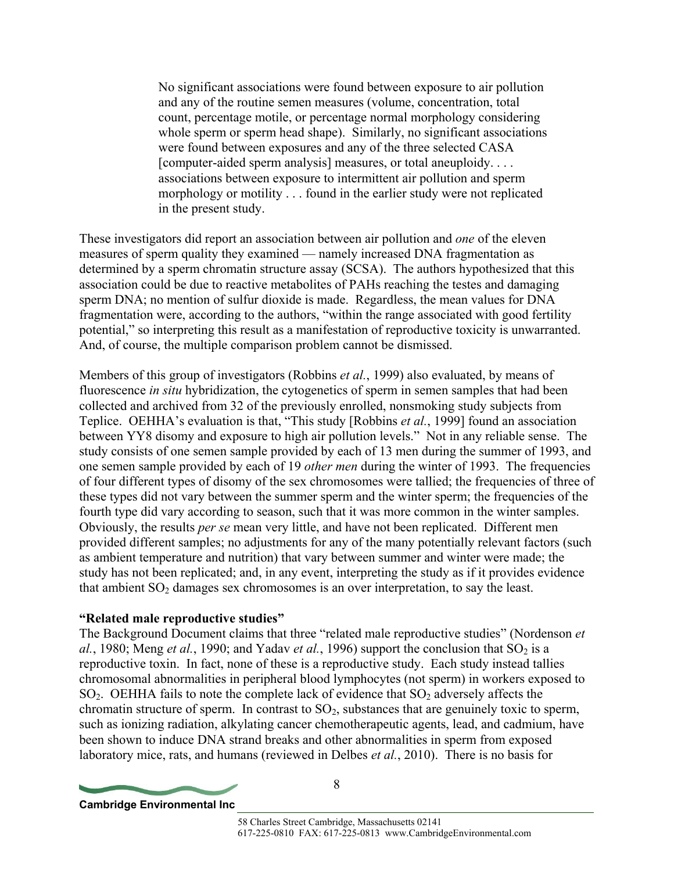No significant associations were found between exposure to air pollution and any of the routine semen measures (volume, concentration, total count, percentage motile, or percentage normal morphology considering whole sperm or sperm head shape). Similarly, no significant associations were found between exposures and any of the three selected CASA [computer-aided sperm analysis] measures, or total aneuploidy. . . . associations between exposure to intermittent air pollution and sperm morphology or motility . . . found in the earlier study were not replicated in the present study.

These investigators did report an association between air pollution and *one* of the eleven measures of sperm quality they examined — namely increased DNA fragmentation as determined by a sperm chromatin structure assay (SCSA). The authors hypothesized that this association could be due to reactive metabolites of PAHs reaching the testes and damaging sperm DNA; no mention of sulfur dioxide is made. Regardless, the mean values for DNA fragmentation were, according to the authors, "within the range associated with good fertility potential," so interpreting this result as a manifestation of reproductive toxicity is unwarranted. And, of course, the multiple comparison problem cannot be dismissed.

Members of this group of investigators (Robbins *et al.*, 1999) also evaluated, by means of fluorescence *in situ* hybridization, the cytogenetics of sperm in semen samples that had been collected and archived from 32 of the previously enrolled, nonsmoking study subjects from Teplice. OEHHA's evaluation is that, "This study [Robbins *et al.*, 1999] found an association between YY8 disomy and exposure to high air pollution levels." Not in any reliable sense. The study consists of one semen sample provided by each of 13 men during the summer of 1993, and one semen sample provided by each of 19 *other men* during the winter of 1993. The frequencies of four different types of disomy of the sex chromosomes were tallied; the frequencies of three of these types did not vary between the summer sperm and the winter sperm; the frequencies of the fourth type did vary according to season, such that it was more common in the winter samples. Obviously, the results *per se* mean very little, and have not been replicated. Different men provided different samples; no adjustments for any of the many potentially relevant factors (such as ambient temperature and nutrition) that vary between summer and winter were made; the study has not been replicated; and, in any event, interpreting the study as if it provides evidence that ambient  $SO<sub>2</sub>$  damages sex chromosomes is an over interpretation, to say the least.

#### **"Related male reproductive studies"**

The Background Document claims that three "related male reproductive studies" (Nordenson *et al.*, 1980; Meng *et al.*, 1990; and Yadav *et al.*, 1996) support the conclusion that SO<sub>2</sub> is a reproductive toxin. In fact, none of these is a reproductive study. Each study instead tallies chromosomal abnormalities in peripheral blood lymphocytes (not sperm) in workers exposed to  $SO<sub>2</sub>$ . OEHHA fails to note the complete lack of evidence that  $SO<sub>2</sub>$  adversely affects the chromatin structure of sperm. In contrast to  $SO<sub>2</sub>$ , substances that are genuinely toxic to sperm, such as ionizing radiation, alkylating cancer chemotherapeutic agents, lead, and cadmium, have been shown to induce DNA strand breaks and other abnormalities in sperm from exposed laboratory mice, rats, and humans (reviewed in Delbes *et al.*, 2010). There is no basis for

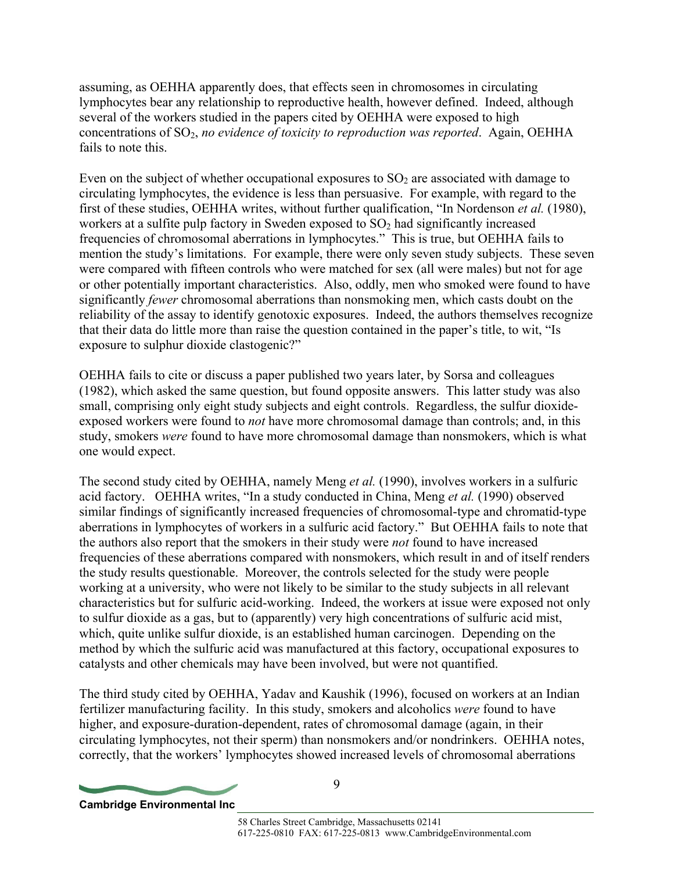assuming, as OEHHA apparently does, that effects seen in chromosomes in circulating lymphocytes bear any relationship to reproductive health, however defined. Indeed, although several of the workers studied in the papers cited by OEHHA were exposed to high concentrations of SO2, *no evidence of toxicity to reproduction was reported*. Again, OEHHA fails to note this.

Even on the subject of whether occupational exposures to  $SO<sub>2</sub>$  are associated with damage to circulating lymphocytes, the evidence is less than persuasive. For example, with regard to the first of these studies, OEHHA writes, without further qualification, "In Nordenson *et al.* (1980), workers at a sulfite pulp factory in Sweden exposed to  $SO<sub>2</sub>$  had significantly increased frequencies of chromosomal aberrations in lymphocytes." This is true, but OEHHA fails to mention the study's limitations. For example, there were only seven study subjects. These seven were compared with fifteen controls who were matched for sex (all were males) but not for age or other potentially important characteristics. Also, oddly, men who smoked were found to have significantly *fewer* chromosomal aberrations than nonsmoking men, which casts doubt on the reliability of the assay to identify genotoxic exposures. Indeed, the authors themselves recognize that their data do little more than raise the question contained in the paper's title, to wit, "Is exposure to sulphur dioxide clastogenic?"

OEHHA fails to cite or discuss a paper published two years later, by Sorsa and colleagues (1982), which asked the same question, but found opposite answers. This latter study was also small, comprising only eight study subjects and eight controls. Regardless, the sulfur dioxideexposed workers were found to *not* have more chromosomal damage than controls; and, in this study, smokers *were* found to have more chromosomal damage than nonsmokers, which is what one would expect.

The second study cited by OEHHA, namely Meng *et al.* (1990), involves workers in a sulfuric acid factory. OEHHA writes, "In a study conducted in China, Meng *et al.* (1990) observed similar findings of significantly increased frequencies of chromosomal-type and chromatid-type aberrations in lymphocytes of workers in a sulfuric acid factory." But OEHHA fails to note that the authors also report that the smokers in their study were *not* found to have increased frequencies of these aberrations compared with nonsmokers, which result in and of itself renders the study results questionable. Moreover, the controls selected for the study were people working at a university, who were not likely to be similar to the study subjects in all relevant characteristics but for sulfuric acid-working. Indeed, the workers at issue were exposed not only to sulfur dioxide as a gas, but to (apparently) very high concentrations of sulfuric acid mist, which, quite unlike sulfur dioxide, is an established human carcinogen. Depending on the method by which the sulfuric acid was manufactured at this factory, occupational exposures to catalysts and other chemicals may have been involved, but were not quantified.

The third study cited by OEHHA, Yadav and Kaushik (1996), focused on workers at an Indian fertilizer manufacturing facility. In this study, smokers and alcoholics *were* found to have higher, and exposure-duration-dependent, rates of chromosomal damage (again, in their circulating lymphocytes, not their sperm) than nonsmokers and/or nondrinkers. OEHHA notes, correctly, that the workers' lymphocytes showed increased levels of chromosomal aberrations

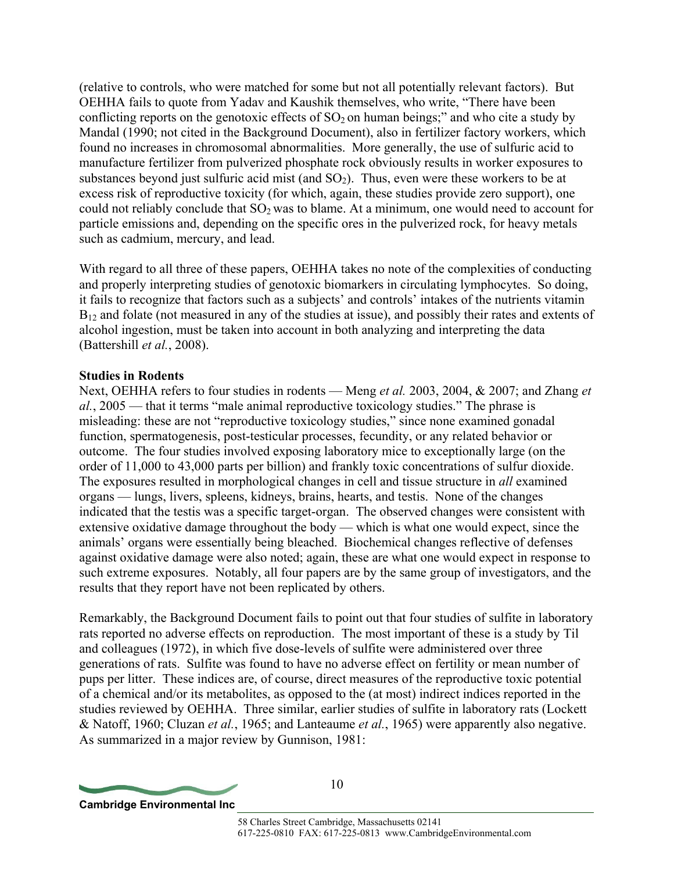(relative to controls, who were matched for some but not all potentially relevant factors). But OEHHA fails to quote from Yadav and Kaushik themselves, who write, "There have been conflicting reports on the genotoxic effects of  $SO_2$  on human beings;" and who cite a study by Mandal (1990; not cited in the Background Document), also in fertilizer factory workers, which found no increases in chromosomal abnormalities. More generally, the use of sulfuric acid to manufacture fertilizer from pulverized phosphate rock obviously results in worker exposures to substances beyond just sulfuric acid mist (and  $SO<sub>2</sub>$ ). Thus, even were these workers to be at excess risk of reproductive toxicity (for which, again, these studies provide zero support), one could not reliably conclude that  $SO<sub>2</sub>$  was to blame. At a minimum, one would need to account for particle emissions and, depending on the specific ores in the pulverized rock, for heavy metals such as cadmium, mercury, and lead.

With regard to all three of these papers, OEHHA takes no note of the complexities of conducting and properly interpreting studies of genotoxic biomarkers in circulating lymphocytes. So doing, it fails to recognize that factors such as a subjects' and controls' intakes of the nutrients vitamin  $B_{12}$  and folate (not measured in any of the studies at issue), and possibly their rates and extents of alcohol ingestion, must be taken into account in both analyzing and interpreting the data (Battershill *et al.*, 2008).

## **Studies in Rodents**

Next, OEHHA refers to four studies in rodents — Meng *et al.* 2003, 2004, & 2007; and Zhang *et al.*, 2005 — that it terms "male animal reproductive toxicology studies." The phrase is misleading: these are not "reproductive toxicology studies," since none examined gonadal function, spermatogenesis, post-testicular processes, fecundity, or any related behavior or outcome. The four studies involved exposing laboratory mice to exceptionally large (on the order of 11,000 to 43,000 parts per billion) and frankly toxic concentrations of sulfur dioxide. The exposures resulted in morphological changes in cell and tissue structure in *all* examined organs — lungs, livers, spleens, kidneys, brains, hearts, and testis. None of the changes indicated that the testis was a specific target-organ. The observed changes were consistent with extensive oxidative damage throughout the body — which is what one would expect, since the animals' organs were essentially being bleached. Biochemical changes reflective of defenses against oxidative damage were also noted; again, these are what one would expect in response to such extreme exposures. Notably, all four papers are by the same group of investigators, and the results that they report have not been replicated by others.

Remarkably, the Background Document fails to point out that four studies of sulfite in laboratory rats reported no adverse effects on reproduction. The most important of these is a study by Til and colleagues (1972), in which five dose-levels of sulfite were administered over three generations of rats. Sulfite was found to have no adverse effect on fertility or mean number of pups per litter. These indices are, of course, direct measures of the reproductive toxic potential of a chemical and/or its metabolites, as opposed to the (at most) indirect indices reported in the studies reviewed by OEHHA. Three similar, earlier studies of sulfite in laboratory rats (Lockett & Natoff, 1960; Cluzan *et al.*, 1965; and Lanteaume *et al.*, 1965) were apparently also negative. As summarized in a major review by Gunnison, 1981:

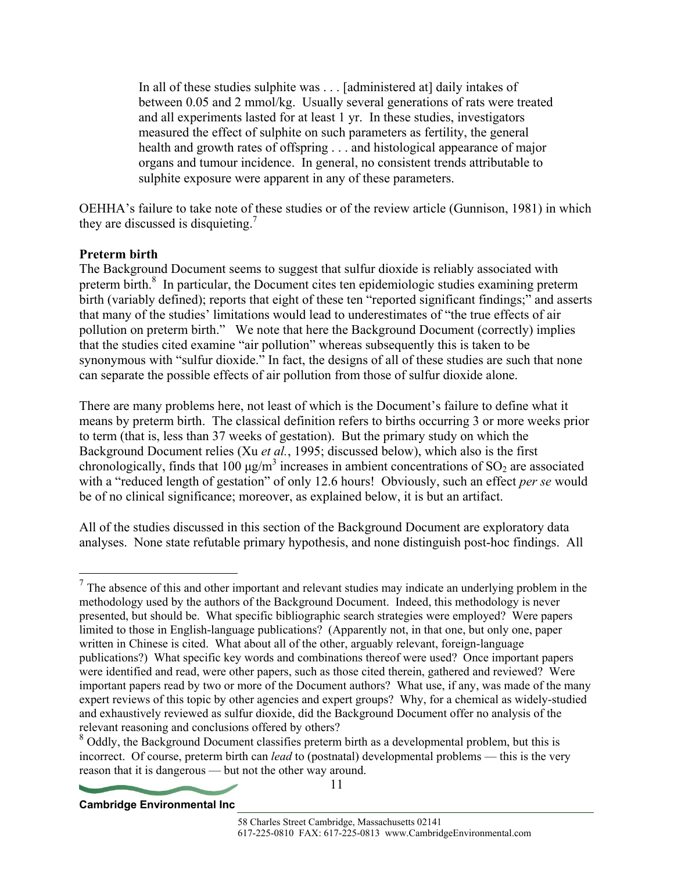In all of these studies sulphite was . . . [administered at] daily intakes of between 0.05 and 2 mmol/kg. Usually several generations of rats were treated and all experiments lasted for at least 1 yr. In these studies, investigators measured the effect of sulphite on such parameters as fertility, the general health and growth rates of offspring . . . and histological appearance of major organs and tumour incidence. In general, no consistent trends attributable to sulphite exposure were apparent in any of these parameters.

OEHHA's failure to take note of these studies or of the review article (Gunnison, 1981) in which they are discussed is disquieting.<sup>7</sup>

## **Preterm birth**

1

The Background Document seems to suggest that sulfur dioxide is reliably associated with preterm birth.<sup>8</sup> In particular, the Document cites ten epidemiologic studies examining preterm birth (variably defined); reports that eight of these ten "reported significant findings;" and asserts that many of the studies' limitations would lead to underestimates of "the true effects of air pollution on preterm birth." We note that here the Background Document (correctly) implies that the studies cited examine "air pollution" whereas subsequently this is taken to be synonymous with "sulfur dioxide." In fact, the designs of all of these studies are such that none can separate the possible effects of air pollution from those of sulfur dioxide alone.

There are many problems here, not least of which is the Document's failure to define what it means by preterm birth. The classical definition refers to births occurring 3 or more weeks prior to term (that is, less than 37 weeks of gestation). But the primary study on which the Background Document relies (Xu *et al.*, 1995; discussed below), which also is the first chronologically, finds that 100  $\mu$ g/m<sup>3</sup> increases in ambient concentrations of SO<sub>2</sub> are associated with a "reduced length of gestation" of only 12.6 hours! Obviously, such an effect *per se* would be of no clinical significance; moreover, as explained below, it is but an artifact.

All of the studies discussed in this section of the Background Document are exploratory data analyses. None state refutable primary hypothesis, and none distinguish post-hoc findings. All

 $<sup>7</sup>$  The absence of this and other important and relevant studies may indicate an underlying problem in the</sup> methodology used by the authors of the Background Document. Indeed, this methodology is never presented, but should be. What specific bibliographic search strategies were employed? Were papers limited to those in English-language publications? (Apparently not, in that one, but only one, paper written in Chinese is cited. What about all of the other, arguably relevant, foreign-language publications?) What specific key words and combinations thereof were used? Once important papers were identified and read, were other papers, such as those cited therein, gathered and reviewed? Were important papers read by two or more of the Document authors? What use, if any, was made of the many expert reviews of this topic by other agencies and expert groups? Why, for a chemical as widely-studied and exhaustively reviewed as sulfur dioxide, did the Background Document offer no analysis of the relevant reasoning and conclusions offered by others?<br><sup>8</sup> Oddly, the Background Document classifies preterm birth as a developmental problem, but this is

incorrect. Of course, preterm birth can *lead* to (postnatal) developmental problems — this is the very reason that it is dangerous — but not the other way around.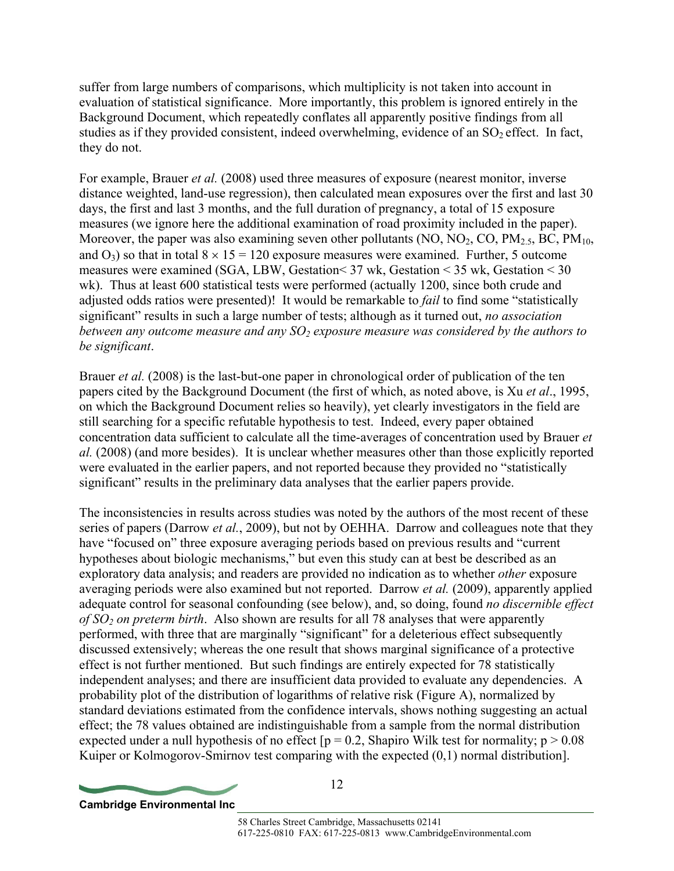suffer from large numbers of comparisons, which multiplicity is not taken into account in evaluation of statistical significance. More importantly, this problem is ignored entirely in the Background Document, which repeatedly conflates all apparently positive findings from all studies as if they provided consistent, indeed overwhelming, evidence of an  $SO<sub>2</sub>$  effect. In fact, they do not.

For example, Brauer *et al.* (2008) used three measures of exposure (nearest monitor, inverse distance weighted, land-use regression), then calculated mean exposures over the first and last 30 days, the first and last 3 months, and the full duration of pregnancy, a total of 15 exposure measures (we ignore here the additional examination of road proximity included in the paper). Moreover, the paper was also examining seven other pollutants (NO,  $NO_2$ , CO,  $PM_{2.5}$ , BC,  $PM_{10}$ , and  $O_3$ ) so that in total  $8 \times 15 = 120$  exposure measures were examined. Further, 5 outcome measures were examined (SGA, LBW, Gestation< 37 wk, Gestation < 35 wk, Gestation < 30 wk). Thus at least 600 statistical tests were performed (actually 1200, since both crude and adjusted odds ratios were presented)! It would be remarkable to *fail* to find some "statistically significant" results in such a large number of tests; although as it turned out, *no association between any outcome measure and any SO<sub>2</sub> exposure measure was considered by the authors to be significant*.

Brauer *et al.* (2008) is the last-but-one paper in chronological order of publication of the ten papers cited by the Background Document (the first of which, as noted above, is Xu *et al*., 1995, on which the Background Document relies so heavily), yet clearly investigators in the field are still searching for a specific refutable hypothesis to test. Indeed, every paper obtained concentration data sufficient to calculate all the time-averages of concentration used by Brauer *et al.* (2008) (and more besides). It is unclear whether measures other than those explicitly reported were evaluated in the earlier papers, and not reported because they provided no "statistically significant" results in the preliminary data analyses that the earlier papers provide.

The inconsistencies in results across studies was noted by the authors of the most recent of these series of papers (Darrow *et al.*, 2009), but not by OEHHA. Darrow and colleagues note that they have "focused on" three exposure averaging periods based on previous results and "current hypotheses about biologic mechanisms," but even this study can at best be described as an exploratory data analysis; and readers are provided no indication as to whether *other* exposure averaging periods were also examined but not reported. Darrow *et al.* (2009), apparently applied adequate control for seasonal confounding (see below), and, so doing, found *no discernible effect of SO2 on preterm birth*. Also shown are results for all 78 analyses that were apparently performed, with three that are marginally "significant" for a deleterious effect subsequently discussed extensively; whereas the one result that shows marginal significance of a protective effect is not further mentioned. But such findings are entirely expected for 78 statistically independent analyses; and there are insufficient data provided to evaluate any dependencies. A probability plot of the distribution of logarithms of relative risk (Figure A), normalized by standard deviations estimated from the confidence intervals, shows nothing suggesting an actual effect; the 78 values obtained are indistinguishable from a sample from the normal distribution expected under a null hypothesis of no effect  $[p = 0.2]$ , Shapiro Wilk test for normality;  $p > 0.08$ Kuiper or Kolmogorov-Smirnov test comparing with the expected (0,1) normal distribution].

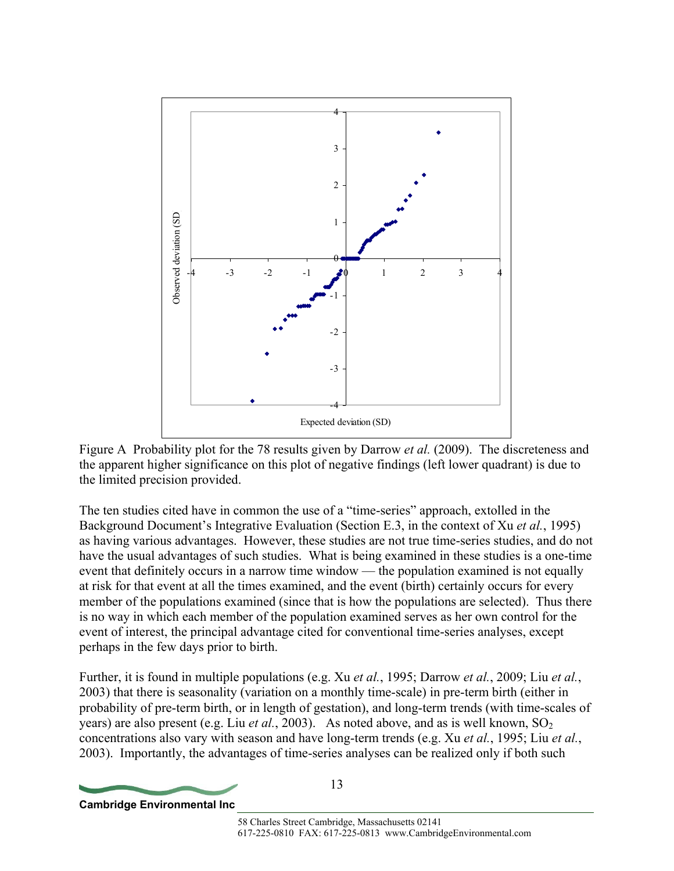

Figure A Probability plot for the 78 results given by Darrow *et al.* (2009). The discreteness and the apparent higher significance on this plot of negative findings (left lower quadrant) is due to the limited precision provided.

The ten studies cited have in common the use of a "time-series" approach, extolled in the Background Document's Integrative Evaluation (Section E.3, in the context of Xu *et al.*, 1995) as having various advantages. However, these studies are not true time-series studies, and do not have the usual advantages of such studies. What is being examined in these studies is a one-time event that definitely occurs in a narrow time window — the population examined is not equally at risk for that event at all the times examined, and the event (birth) certainly occurs for every member of the populations examined (since that is how the populations are selected). Thus there is no way in which each member of the population examined serves as her own control for the event of interest, the principal advantage cited for conventional time-series analyses, except perhaps in the few days prior to birth.

Further, it is found in multiple populations (e.g. Xu *et al.*, 1995; Darrow *et al.*, 2009; Liu *et al.*, 2003) that there is seasonality (variation on a monthly time-scale) in pre-term birth (either in probability of pre-term birth, or in length of gestation), and long-term trends (with time-scales of years) are also present (e.g. Liu *et al.*, 2003). As noted above, and as is well known,  $SO_2$ concentrations also vary with season and have long-term trends (e.g. Xu *et al.*, 1995; Liu *et al.*, 2003). Importantly, the advantages of time-series analyses can be realized only if both such

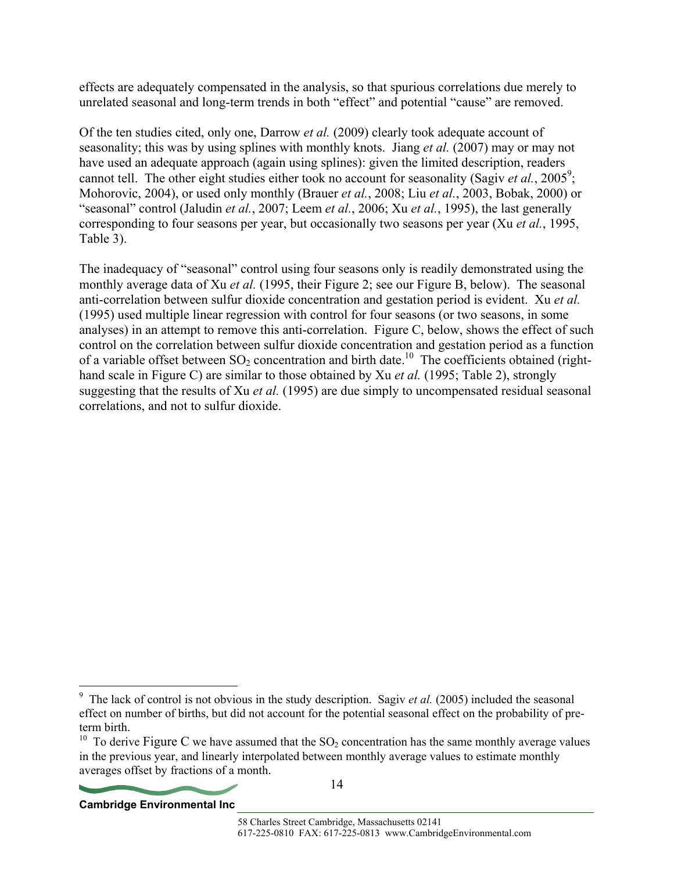effects are adequately compensated in the analysis, so that spurious correlations due merely to unrelated seasonal and long-term trends in both "effect" and potential "cause" are removed.

Of the ten studies cited, only one, Darrow *et al.* (2009) clearly took adequate account of seasonality; this was by using splines with monthly knots. Jiang *et al.* (2007) may or may not have used an adequate approach (again using splines): given the limited description, readers cannot tell. The other eight studies either took no account for seasonality (Sagiv *et al.*, 2005<sup>9</sup>; Mohorovic, 2004), or used only monthly (Brauer *et al.*, 2008; Liu *et al.*, 2003, Bobak, 2000) or "seasonal" control (Jaludin *et al.*, 2007; Leem *et al.*, 2006; Xu *et al.*, 1995), the last generally corresponding to four seasons per year, but occasionally two seasons per year (Xu *et al.*, 1995, Table 3).

The inadequacy of "seasonal" control using four seasons only is readily demonstrated using the monthly average data of Xu *et al.* (1995, their Figure 2; see our Figure B, below). The seasonal anti-correlation between sulfur dioxide concentration and gestation period is evident. Xu *et al.* (1995) used multiple linear regression with control for four seasons (or two seasons, in some analyses) in an attempt to remove this anti-correlation. Figure C, below, shows the effect of such control on the correlation between sulfur dioxide concentration and gestation period as a function of a variable offset between  $SO_2$  concentration and birth date.<sup>10</sup> The coefficients obtained (righthand scale in Figure C) are similar to those obtained by Xu *et al.* (1995; Table 2), strongly suggesting that the results of Xu *et al.* (1995) are due simply to uncompensated residual seasonal correlations, and not to sulfur dioxide.

<sup>&</sup>lt;sup>10</sup> To derive Figure C we have assumed that the SO<sub>2</sub> concentration has the same monthly average values in the previous year, and linearly interpolated between monthly average values to estimate monthly averages offset by fractions of a month.



 $\overline{a}$ <sup>9</sup> The lack of control is not obvious in the study description. Sagiv *et al.* (2005) included the seasonal effect on number of births, but did not account for the potential seasonal effect on the probability of preterm birth.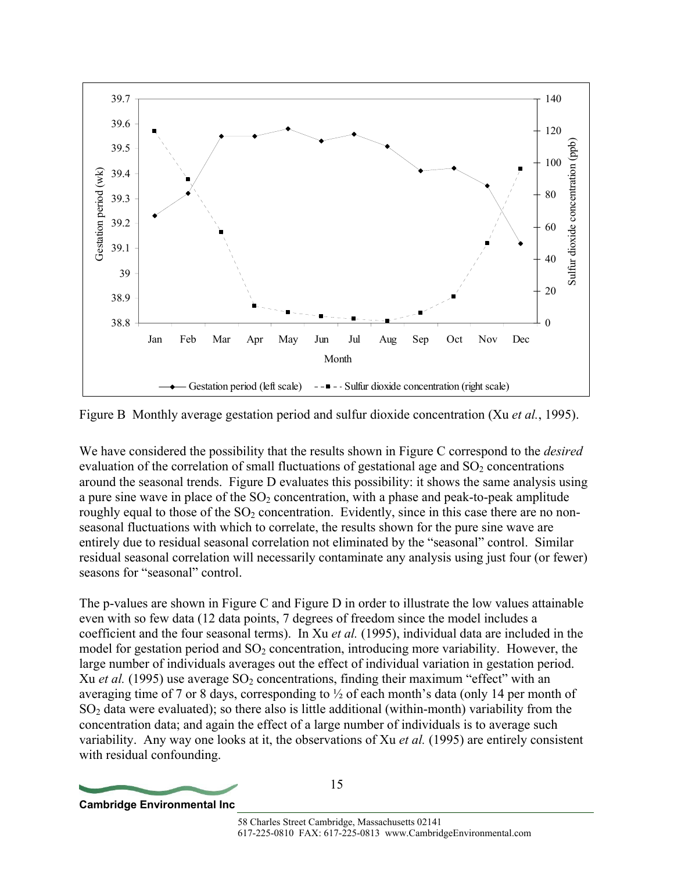

Figure B Monthly average gestation period and sulfur dioxide concentration (Xu *et al.*, 1995).

We have considered the possibility that the results shown in Figure C correspond to the *desired* evaluation of the correlation of small fluctuations of gestational age and  $SO<sub>2</sub>$  concentrations around the seasonal trends. Figure D evaluates this possibility: it shows the same analysis using a pure sine wave in place of the  $SO_2$  concentration, with a phase and peak-to-peak amplitude roughly equal to those of the  $SO<sub>2</sub>$  concentration. Evidently, since in this case there are no nonseasonal fluctuations with which to correlate, the results shown for the pure sine wave are entirely due to residual seasonal correlation not eliminated by the "seasonal" control. Similar residual seasonal correlation will necessarily contaminate any analysis using just four (or fewer) seasons for "seasonal" control.

The p-values are shown in Figure C and Figure D in order to illustrate the low values attainable even with so few data (12 data points, 7 degrees of freedom since the model includes a coefficient and the four seasonal terms). In Xu *et al.* (1995), individual data are included in the model for gestation period and  $SO<sub>2</sub>$  concentration, introducing more variability. However, the large number of individuals averages out the effect of individual variation in gestation period. Xu *et al.* (1995) use average SO<sub>2</sub> concentrations, finding their maximum "effect" with an averaging time of 7 or 8 days, corresponding to  $\frac{1}{2}$  of each month's data (only 14 per month of  $SO<sub>2</sub>$  data were evaluated); so there also is little additional (within-month) variability from the concentration data; and again the effect of a large number of individuals is to average such variability. Any way one looks at it, the observations of Xu *et al.* (1995) are entirely consistent with residual confounding.

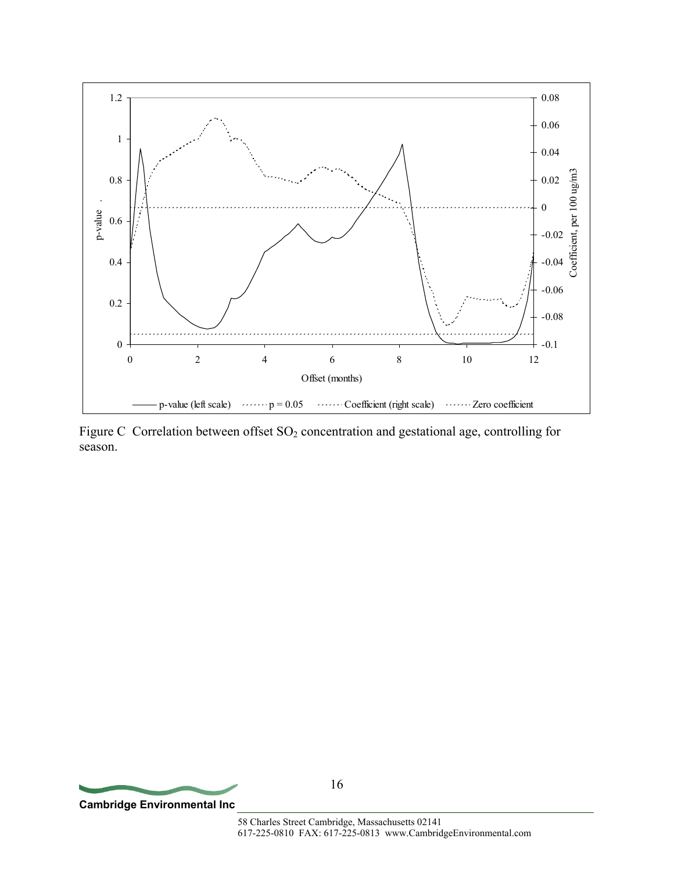

Figure C Correlation between offset SO<sub>2</sub> concentration and gestational age, controlling for season.

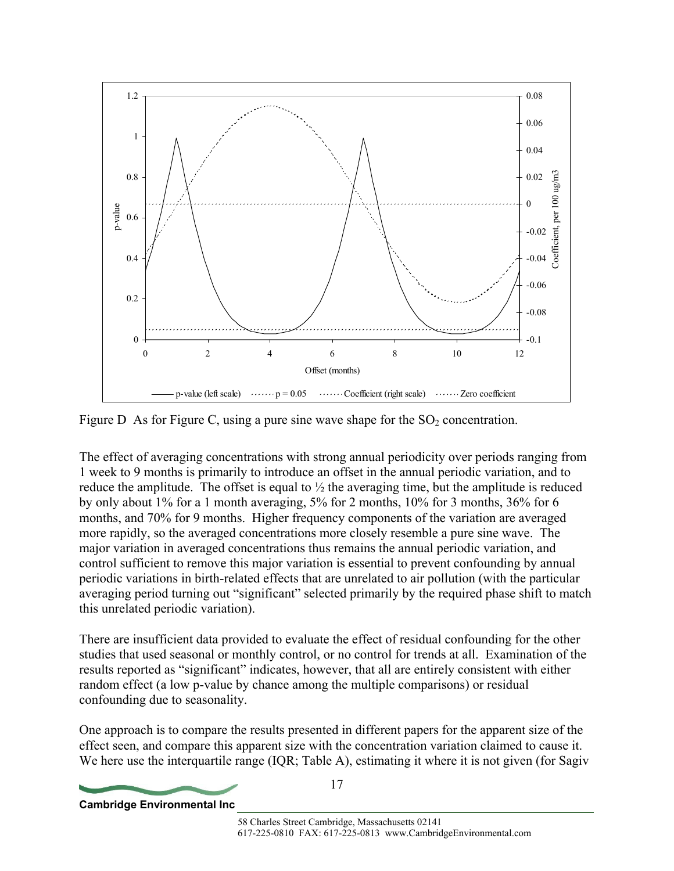

Figure D As for Figure C, using a pure sine wave shape for the  $SO<sub>2</sub>$  concentration.

The effect of averaging concentrations with strong annual periodicity over periods ranging from 1 week to 9 months is primarily to introduce an offset in the annual periodic variation, and to reduce the amplitude. The offset is equal to  $\frac{1}{2}$  the averaging time, but the amplitude is reduced by only about 1% for a 1 month averaging, 5% for 2 months, 10% for 3 months, 36% for 6 months, and 70% for 9 months. Higher frequency components of the variation are averaged more rapidly, so the averaged concentrations more closely resemble a pure sine wave. The major variation in averaged concentrations thus remains the annual periodic variation, and control sufficient to remove this major variation is essential to prevent confounding by annual periodic variations in birth-related effects that are unrelated to air pollution (with the particular averaging period turning out "significant" selected primarily by the required phase shift to match this unrelated periodic variation).

There are insufficient data provided to evaluate the effect of residual confounding for the other studies that used seasonal or monthly control, or no control for trends at all. Examination of the results reported as "significant" indicates, however, that all are entirely consistent with either random effect (a low p-value by chance among the multiple comparisons) or residual confounding due to seasonality.

One approach is to compare the results presented in different papers for the apparent size of the effect seen, and compare this apparent size with the concentration variation claimed to cause it. We here use the interquartile range (IQR; Table A), estimating it where it is not given (for Sagiv

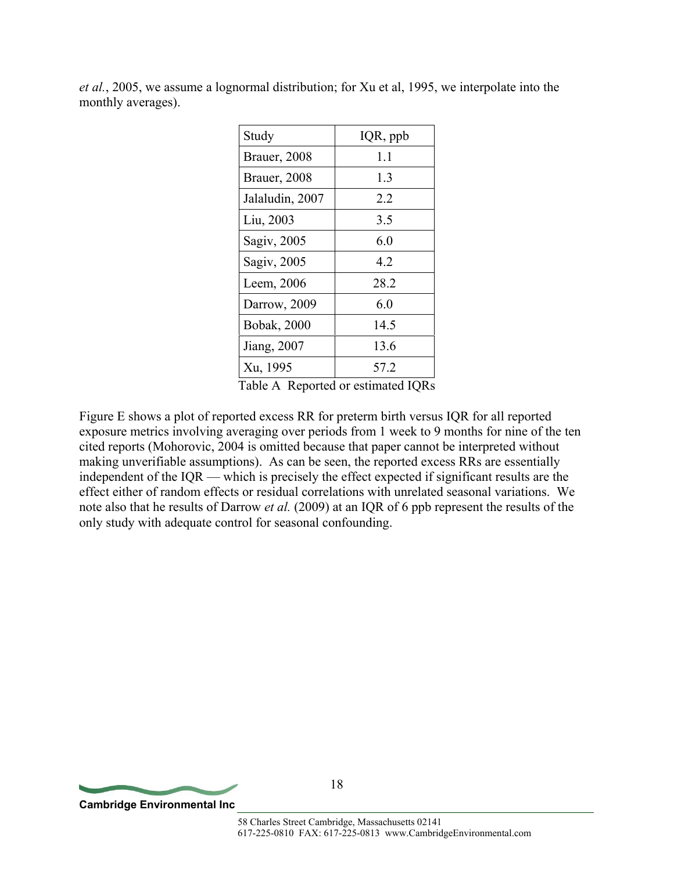| Study                | IQR, ppb |
|----------------------|----------|
| <b>Brauer, 2008</b>  | 1.1      |
| <b>Brauer</b> , 2008 | 1.3      |
| Jalaludin, 2007      | 22       |
| Liu, 2003            | 3.5      |
| Sagiv, 2005          | 6.0      |
| Sagiv, 2005          | 42       |
| Leem, 2006           | 28.2     |
| Darrow, 2009         | 60       |
| <b>Bobak</b> , 2000  | 14.5     |
| Jiang, 2007          | 13.6     |
| Xu, 1995             | 57 2     |

*et al.*, 2005, we assume a lognormal distribution; for Xu et al, 1995, we interpolate into the monthly averages).

Table A Reported or estimated IQRs

Figure E shows a plot of reported excess RR for preterm birth versus IQR for all reported exposure metrics involving averaging over periods from 1 week to 9 months for nine of the ten cited reports (Mohorovic, 2004 is omitted because that paper cannot be interpreted without making unverifiable assumptions). As can be seen, the reported excess RRs are essentially independent of the IQR — which is precisely the effect expected if significant results are the effect either of random effects or residual correlations with unrelated seasonal variations. We note also that he results of Darrow *et al.* (2009) at an IQR of 6 ppb represent the results of the only study with adequate control for seasonal confounding.

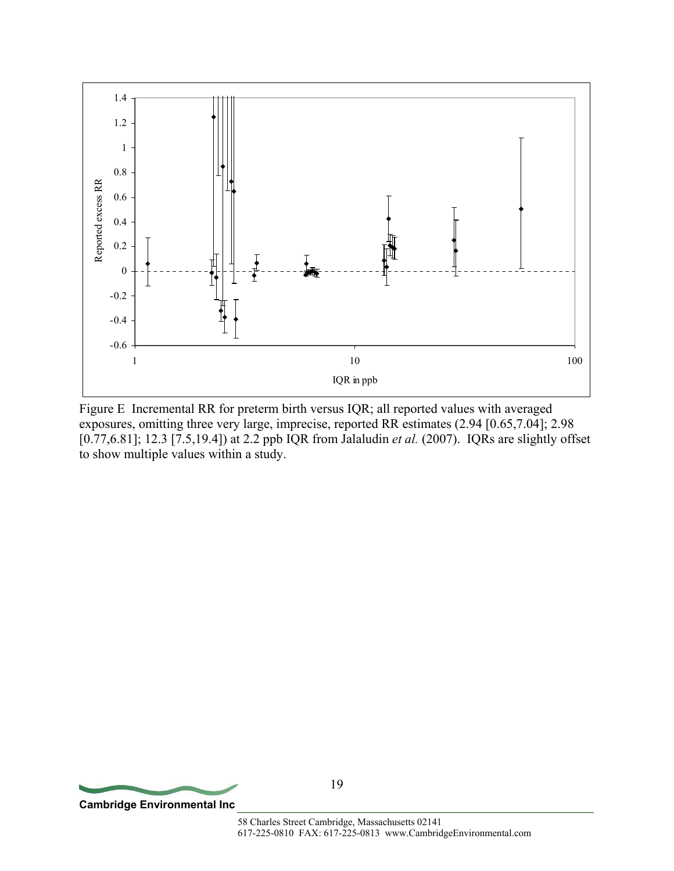

Figure E Incremental RR for preterm birth versus IQR; all reported values with averaged exposures, omitting three very large, imprecise, reported RR estimates (2.94 [0.65,7.04]; 2.98 [0.77,6.81]; 12.3 [7.5,19.4]) at 2.2 ppb IQR from Jalaludin *et al.* (2007). IQRs are slightly offset to show multiple values within a study.

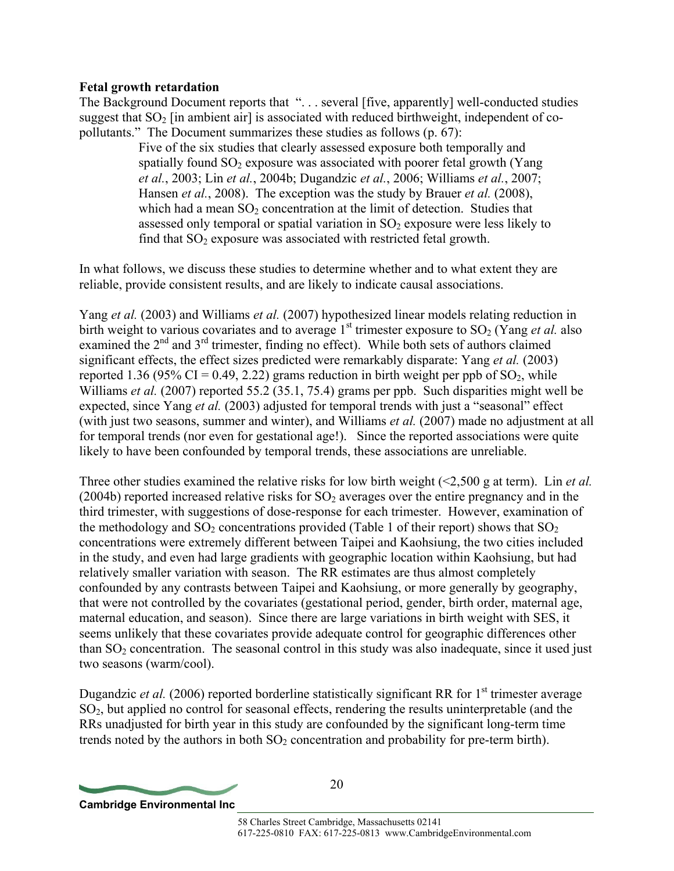#### **Fetal growth retardation**

The Background Document reports that "... several [five, apparently] well-conducted studies suggest that  $SO<sub>2</sub>$  [in ambient air] is associated with reduced birthweight, independent of copollutants." The Document summarizes these studies as follows (p. 67):

> Five of the six studies that clearly assessed exposure both temporally and spatially found  $SO_2$  exposure was associated with poorer fetal growth (Yang *et al.*, 2003; Lin *et al.*, 2004b; Dugandzic *et al.*, 2006; Williams *et al.*, 2007; Hansen *et al.*, 2008). The exception was the study by Brauer *et al.* (2008), which had a mean  $SO<sub>2</sub>$  concentration at the limit of detection. Studies that assessed only temporal or spatial variation in  $SO<sub>2</sub>$  exposure were less likely to find that  $SO_2$  exposure was associated with restricted fetal growth.

In what follows, we discuss these studies to determine whether and to what extent they are reliable, provide consistent results, and are likely to indicate causal associations.

Yang *et al.* (2003) and Williams *et al.* (2007) hypothesized linear models relating reduction in birth weight to various covariates and to average  $1<sup>st</sup>$  trimester exposure to SO<sub>2</sub> (Yang *et al.* also examined the 2<sup>nd</sup> and 3<sup>rd</sup> trimester, finding no effect). While both sets of authors claimed significant effects, the effect sizes predicted were remarkably disparate: Yang *et al.* (2003) reported 1.36 (95% CI = 0.49, 2.22) grams reduction in birth weight per ppb of  $SO_2$ , while Williams *et al.* (2007) reported 55.2 (35.1, 75.4) grams per ppb. Such disparities might well be expected, since Yang *et al.* (2003) adjusted for temporal trends with just a "seasonal" effect (with just two seasons, summer and winter), and Williams *et al.* (2007) made no adjustment at all for temporal trends (nor even for gestational age!). Since the reported associations were quite likely to have been confounded by temporal trends, these associations are unreliable.

Three other studies examined the relative risks for low birth weight (<2,500 g at term). Lin *et al.* (2004b) reported increased relative risks for  $SO<sub>2</sub>$  averages over the entire pregnancy and in the third trimester, with suggestions of dose-response for each trimester. However, examination of the methodology and  $SO_2$  concentrations provided (Table 1 of their report) shows that  $SO_2$ concentrations were extremely different between Taipei and Kaohsiung, the two cities included in the study, and even had large gradients with geographic location within Kaohsiung, but had relatively smaller variation with season. The RR estimates are thus almost completely confounded by any contrasts between Taipei and Kaohsiung, or more generally by geography, that were not controlled by the covariates (gestational period, gender, birth order, maternal age, maternal education, and season). Since there are large variations in birth weight with SES, it seems unlikely that these covariates provide adequate control for geographic differences other than  $SO<sub>2</sub>$  concentration. The seasonal control in this study was also inadequate, since it used just two seasons (warm/cool).

Dugandzic *et al.* (2006) reported borderline statistically significant RR for 1<sup>st</sup> trimester average SO2, but applied no control for seasonal effects, rendering the results uninterpretable (and the RRs unadjusted for birth year in this study are confounded by the significant long-term time trends noted by the authors in both  $SO<sub>2</sub>$  concentration and probability for pre-term birth).

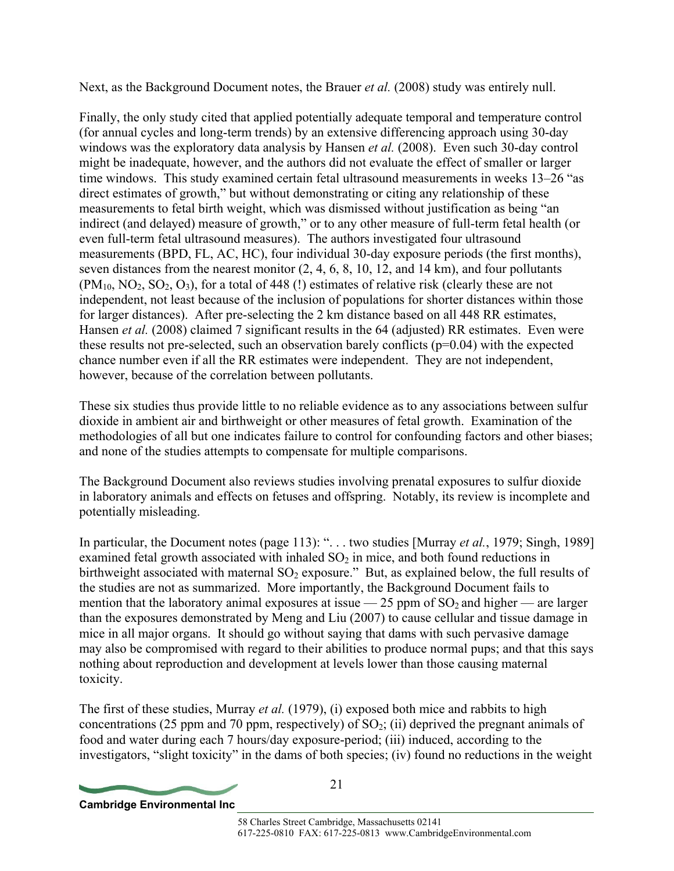Next, as the Background Document notes, the Brauer *et al.* (2008) study was entirely null.

Finally, the only study cited that applied potentially adequate temporal and temperature control (for annual cycles and long-term trends) by an extensive differencing approach using 30-day windows was the exploratory data analysis by Hansen *et al.* (2008). Even such 30-day control might be inadequate, however, and the authors did not evaluate the effect of smaller or larger time windows. This study examined certain fetal ultrasound measurements in weeks 13–26 "as direct estimates of growth," but without demonstrating or citing any relationship of these measurements to fetal birth weight, which was dismissed without justification as being "an indirect (and delayed) measure of growth," or to any other measure of full-term fetal health (or even full-term fetal ultrasound measures). The authors investigated four ultrasound measurements (BPD, FL, AC, HC), four individual 30-day exposure periods (the first months), seven distances from the nearest monitor (2, 4, 6, 8, 10, 12, and 14 km), and four pollutants  $(PM_{10}, NO_2, SO_2, O_3)$ , for a total of 448 (!) estimates of relative risk (clearly these are not independent, not least because of the inclusion of populations for shorter distances within those for larger distances). After pre-selecting the 2 km distance based on all 448 RR estimates, Hansen *et al.* (2008) claimed 7 significant results in the 64 (adjusted) RR estimates. Even were these results not pre-selected, such an observation barely conflicts  $(p=0.04)$  with the expected chance number even if all the RR estimates were independent. They are not independent, however, because of the correlation between pollutants.

These six studies thus provide little to no reliable evidence as to any associations between sulfur dioxide in ambient air and birthweight or other measures of fetal growth. Examination of the methodologies of all but one indicates failure to control for confounding factors and other biases; and none of the studies attempts to compensate for multiple comparisons.

The Background Document also reviews studies involving prenatal exposures to sulfur dioxide in laboratory animals and effects on fetuses and offspring. Notably, its review is incomplete and potentially misleading.

In particular, the Document notes (page 113): ". . . two studies [Murray *et al.*, 1979; Singh, 1989] examined fetal growth associated with inhaled  $SO<sub>2</sub>$  in mice, and both found reductions in birthweight associated with maternal  $SO_2$  exposure." But, as explained below, the full results of the studies are not as summarized. More importantly, the Background Document fails to mention that the laboratory animal exposures at issue  $-25$  ppm of  $SO<sub>2</sub>$  and higher — are larger than the exposures demonstrated by Meng and Liu (2007) to cause cellular and tissue damage in mice in all major organs. It should go without saying that dams with such pervasive damage may also be compromised with regard to their abilities to produce normal pups; and that this says nothing about reproduction and development at levels lower than those causing maternal toxicity.

The first of these studies, Murray *et al.* (1979), (i) exposed both mice and rabbits to high concentrations (25 ppm and 70 ppm, respectively) of  $SO_2$ ; (ii) deprived the pregnant animals of food and water during each 7 hours/day exposure-period; (iii) induced, according to the investigators, "slight toxicity" in the dams of both species; (iv) found no reductions in the weight

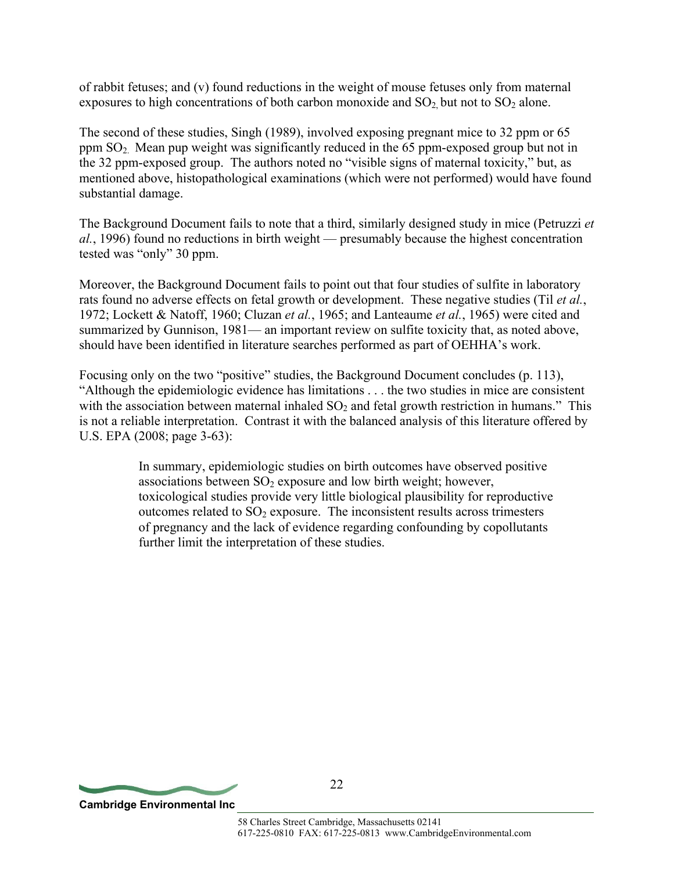of rabbit fetuses; and (v) found reductions in the weight of mouse fetuses only from maternal exposures to high concentrations of both carbon monoxide and  $SO_2$  but not to  $SO_2$  alone.

The second of these studies, Singh (1989), involved exposing pregnant mice to 32 ppm or 65 ppm  $SO<sub>2</sub>$ . Mean pup weight was significantly reduced in the 65 ppm-exposed group but not in the 32 ppm-exposed group. The authors noted no "visible signs of maternal toxicity," but, as mentioned above, histopathological examinations (which were not performed) would have found substantial damage.

The Background Document fails to note that a third, similarly designed study in mice (Petruzzi *et al.*, 1996) found no reductions in birth weight — presumably because the highest concentration tested was "only" 30 ppm.

Moreover, the Background Document fails to point out that four studies of sulfite in laboratory rats found no adverse effects on fetal growth or development. These negative studies (Til *et al.*, 1972; Lockett & Natoff, 1960; Cluzan *et al.*, 1965; and Lanteaume *et al.*, 1965) were cited and summarized by Gunnison, 1981— an important review on sulfite toxicity that, as noted above, should have been identified in literature searches performed as part of OEHHA's work.

Focusing only on the two "positive" studies, the Background Document concludes (p. 113), "Although the epidemiologic evidence has limitations . . . the two studies in mice are consistent with the association between maternal inhaled  $SO<sub>2</sub>$  and fetal growth restriction in humans." This is not a reliable interpretation. Contrast it with the balanced analysis of this literature offered by U.S. EPA (2008; page 3-63):

> In summary, epidemiologic studies on birth outcomes have observed positive associations between  $SO<sub>2</sub>$  exposure and low birth weight; however, toxicological studies provide very little biological plausibility for reproductive outcomes related to  $SO<sub>2</sub>$  exposure. The inconsistent results across trimesters of pregnancy and the lack of evidence regarding confounding by copollutants further limit the interpretation of these studies.

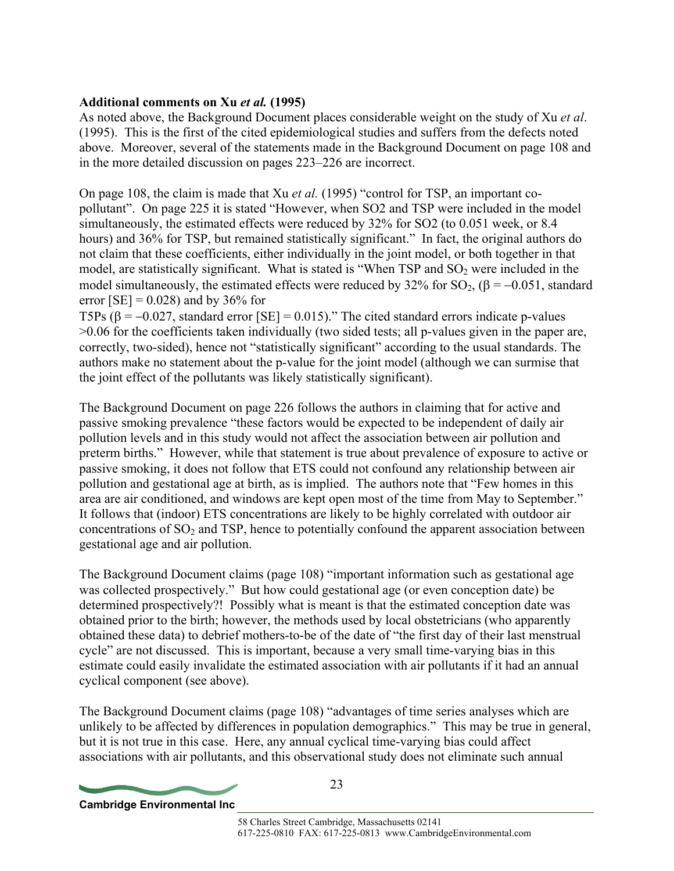## **Additional comments on Xu** *et al.* **(1995)**

As noted above, the Background Document places considerable weight on the study of Xu *et al*. (1995). This is the first of the cited epidemiological studies and suffers from the defects noted above. Moreover, several of the statements made in the Background Document on page 108 and in the more detailed discussion on pages 223–226 are incorrect.

On page 108, the claim is made that Xu *et al.* (1995) "control for TSP, an important copollutant". On page 225 it is stated "However, when SO2 and TSP were included in the model simultaneously, the estimated effects were reduced by 32% for SO2 (to 0.051 week, or 8.4 hours) and 36% for TSP, but remained statistically significant." In fact, the original authors do not claim that these coefficients, either individually in the joint model, or both together in that model, are statistically significant. What is stated is "When TSP and  $SO<sub>2</sub>$  were included in the model simultaneously, the estimated effects were reduced by 32% for SO<sub>2</sub>, ( $\beta$  = −0.051, standard error  $[SE] = 0.028$ ) and by 36% for

T5Ps ( $\beta$  = -0.027, standard error [SE] = 0.015)." The cited standard errors indicate p-values >0.06 for the coefficients taken individually (two sided tests; all p-values given in the paper are, correctly, two-sided), hence not "statistically significant" according to the usual standards. The authors make no statement about the p-value for the joint model (although we can surmise that the joint effect of the pollutants was likely statistically significant).

The Background Document on page 226 follows the authors in claiming that for active and passive smoking prevalence "these factors would be expected to be independent of daily air pollution levels and in this study would not affect the association between air pollution and preterm births." However, while that statement is true about prevalence of exposure to active or passive smoking, it does not follow that ETS could not confound any relationship between air pollution and gestational age at birth, as is implied. The authors note that "Few homes in this area are air conditioned, and windows are kept open most of the time from May to September." It follows that (indoor) ETS concentrations are likely to be highly correlated with outdoor air concentrations of  $SO<sub>2</sub>$  and TSP, hence to potentially confound the apparent association between gestational age and air pollution.

The Background Document claims (page 108) "important information such as gestational age was collected prospectively." But how could gestational age (or even conception date) be determined prospectively?! Possibly what is meant is that the estimated conception date was obtained prior to the birth; however, the methods used by local obstetricians (who apparently obtained these data) to debrief mothers-to-be of the date of "the first day of their last menstrual cycle" are not discussed. This is important, because a very small time-varying bias in this estimate could easily invalidate the estimated association with air pollutants if it had an annual cyclical component (see above).

The Background Document claims (page 108) "advantages of time series analyses which are unlikely to be affected by differences in population demographics." This may be true in general, but it is not true in this case. Here, any annual cyclical time-varying bias could affect associations with air pollutants, and this observational study does not eliminate such annual

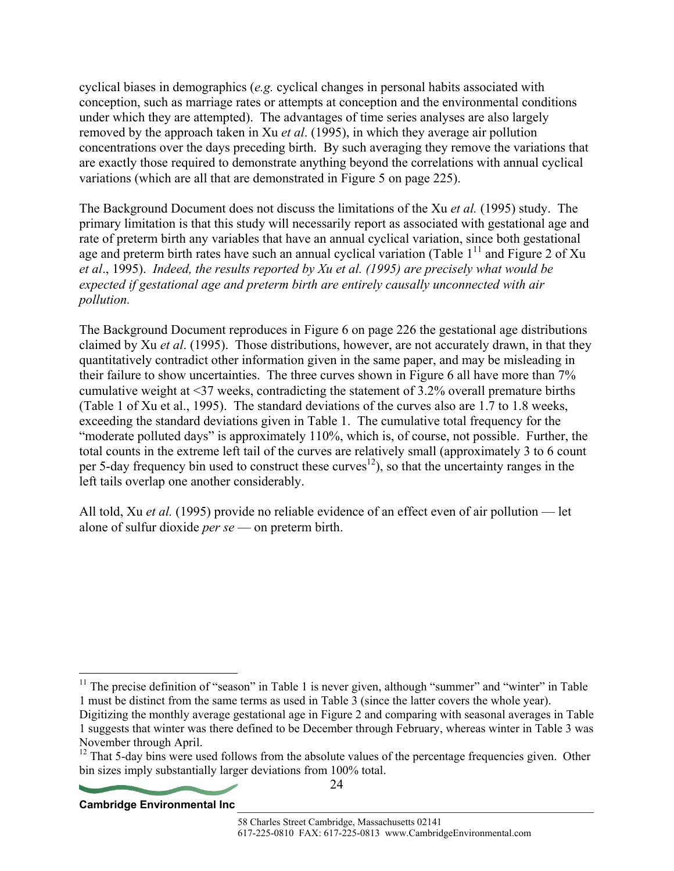cyclical biases in demographics (*e.g.* cyclical changes in personal habits associated with conception, such as marriage rates or attempts at conception and the environmental conditions under which they are attempted). The advantages of time series analyses are also largely removed by the approach taken in Xu *et al*. (1995), in which they average air pollution concentrations over the days preceding birth. By such averaging they remove the variations that are exactly those required to demonstrate anything beyond the correlations with annual cyclical variations (which are all that are demonstrated in Figure 5 on page 225).

The Background Document does not discuss the limitations of the Xu *et al.* (1995) study. The primary limitation is that this study will necessarily report as associated with gestational age and rate of preterm birth any variables that have an annual cyclical variation, since both gestational age and preterm birth rates have such an annual cyclical variation (Table  $1<sup>11</sup>$  and Figure 2 of Xu *et al*., 1995). *Indeed, the results reported by Xu et al. (1995) are precisely what would be expected if gestational age and preterm birth are entirely causally unconnected with air pollution.* 

The Background Document reproduces in Figure 6 on page 226 the gestational age distributions claimed by Xu *et al*. (1995). Those distributions, however, are not accurately drawn, in that they quantitatively contradict other information given in the same paper, and may be misleading in their failure to show uncertainties. The three curves shown in Figure 6 all have more than 7% cumulative weight at <37 weeks, contradicting the statement of 3.2% overall premature births (Table 1 of Xu et al., 1995). The standard deviations of the curves also are 1.7 to 1.8 weeks, exceeding the standard deviations given in Table 1. The cumulative total frequency for the "moderate polluted days" is approximately 110%, which is, of course, not possible. Further, the total counts in the extreme left tail of the curves are relatively small (approximately 3 to 6 count per 5-day frequency bin used to construct these curves<sup>12</sup>), so that the uncertainty ranges in the left tails overlap one another considerably.

All told, Xu *et al.* (1995) provide no reliable evidence of an effect even of air pollution — let alone of sulfur dioxide *per se* — on preterm birth.

24



 $\overline{a}$ 

 $11$  The precise definition of "season" in Table 1 is never given, although "summer" and "winter" in Table 1 must be distinct from the same terms as used in Table 3 (since the latter covers the whole year).

Digitizing the monthly average gestational age in Figure 2 and comparing with seasonal averages in Table 1 suggests that winter was there defined to be December through February, whereas winter in Table 3 was November through April.

<sup>&</sup>lt;sup>12</sup> That 5-day bins were used follows from the absolute values of the percentage frequencies given. Other bin sizes imply substantially larger deviations from 100% total.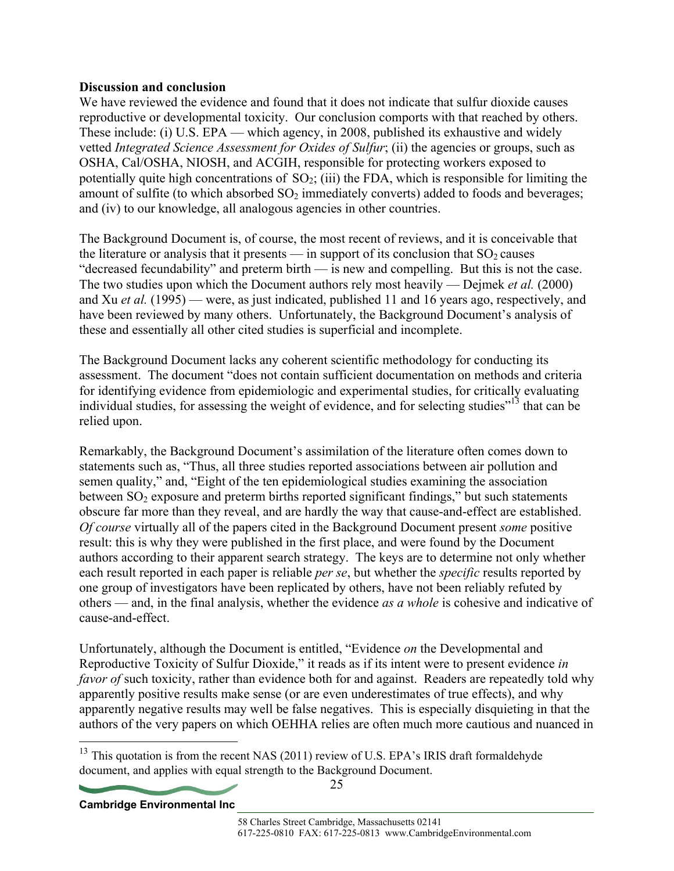#### **Discussion and conclusion**

We have reviewed the evidence and found that it does not indicate that sulfur dioxide causes reproductive or developmental toxicity. Our conclusion comports with that reached by others. These include: (i) U.S. EPA — which agency, in 2008, published its exhaustive and widely vetted *Integrated Science Assessment for Oxides of Sulfur*; (ii) the agencies or groups, such as OSHA, Cal/OSHA, NIOSH, and ACGIH, responsible for protecting workers exposed to potentially quite high concentrations of  $SO_2$ ; (iii) the FDA, which is responsible for limiting the amount of sulfite (to which absorbed  $SO<sub>2</sub>$  immediately converts) added to foods and beverages; and (iv) to our knowledge, all analogous agencies in other countries.

The Background Document is, of course, the most recent of reviews, and it is conceivable that the literature or analysis that it presents — in support of its conclusion that  $SO_2$  causes "decreased fecundability" and preterm birth — is new and compelling. But this is not the case. The two studies upon which the Document authors rely most heavily — Dejmek *et al.* (2000) and Xu *et al.* (1995) — were, as just indicated, published 11 and 16 years ago, respectively, and have been reviewed by many others. Unfortunately, the Background Document's analysis of these and essentially all other cited studies is superficial and incomplete.

The Background Document lacks any coherent scientific methodology for conducting its assessment. The document "does not contain sufficient documentation on methods and criteria for identifying evidence from epidemiologic and experimental studies, for critically evaluating individual studies, for assessing the weight of evidence, and for selecting studies"<sup>13</sup> that can be relied upon.

Remarkably, the Background Document's assimilation of the literature often comes down to statements such as, "Thus, all three studies reported associations between air pollution and semen quality," and, "Eight of the ten epidemiological studies examining the association between  $SO<sub>2</sub>$  exposure and preterm births reported significant findings," but such statements obscure far more than they reveal, and are hardly the way that cause-and-effect are established. *Of course* virtually all of the papers cited in the Background Document present *some* positive result: this is why they were published in the first place, and were found by the Document authors according to their apparent search strategy. The keys are to determine not only whether each result reported in each paper is reliable *per se*, but whether the *specific* results reported by one group of investigators have been replicated by others, have not been reliably refuted by others — and, in the final analysis, whether the evidence *as a whole* is cohesive and indicative of cause-and-effect.

Unfortunately, although the Document is entitled, "Evidence *on* the Developmental and Reproductive Toxicity of Sulfur Dioxide," it reads as if its intent were to present evidence *in favor of* such toxicity, rather than evidence both for and against. Readers are repeatedly told why apparently positive results make sense (or are even underestimates of true effects), and why apparently negative results may well be false negatives. This is especially disquieting in that the authors of the very papers on which OEHHA relies are often much more cautious and nuanced in

<sup>&</sup>lt;sup>13</sup> This quotation is from the recent NAS (2011) review of U.S. EPA's IRIS draft formaldehyde document, and applies with equal strength to the Background Document.



 $\overline{a}$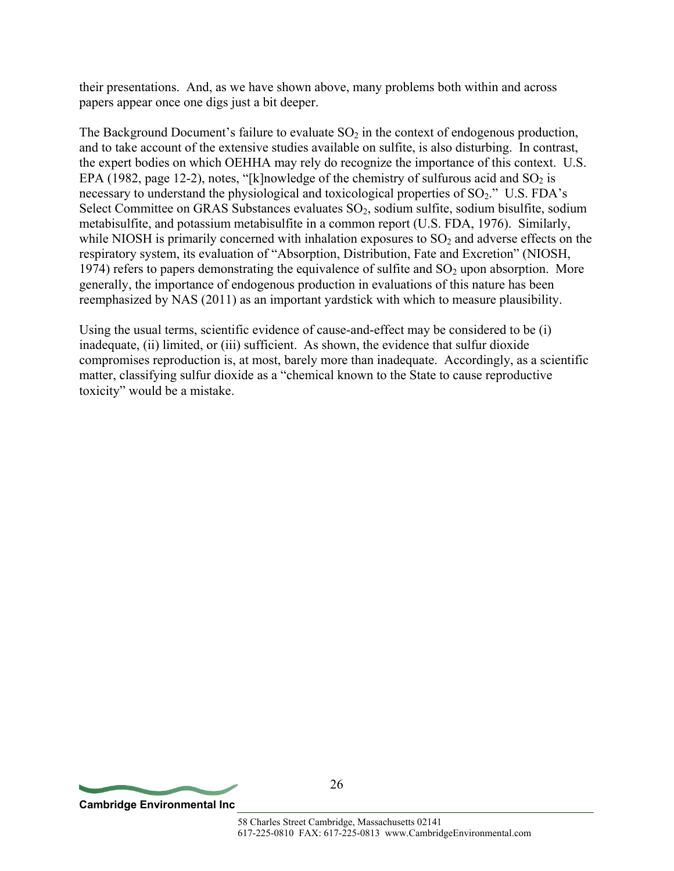their presentations. And, as we have shown above, many problems both within and across papers appear once one digs just a bit deeper.

The Background Document's failure to evaluate  $SO_2$  in the context of endogenous production, and to take account of the extensive studies available on sulfite, is also disturbing. In contrast, the expert bodies on which OEHHA may rely do recognize the importance of this context. U.S. EPA (1982, page 12-2), notes, "[k]nowledge of the chemistry of sulfurous acid and  $SO_2$  is necessary to understand the physiological and toxicological properties of  $SO_2$ ." U.S. FDA's Select Committee on GRAS Substances evaluates  $SO<sub>2</sub>$ , sodium sulfite, sodium bisulfite, sodium metabisulfite, and potassium metabisulfite in a common report (U.S. FDA, 1976). Similarly, while NIOSH is primarily concerned with inhalation exposures to  $SO<sub>2</sub>$  and adverse effects on the respiratory system, its evaluation of "Absorption, Distribution, Fate and Excretion" (NIOSH, 1974) refers to papers demonstrating the equivalence of sulfite and  $SO<sub>2</sub>$  upon absorption. More generally, the importance of endogenous production in evaluations of this nature has been reemphasized by NAS (2011) as an important yardstick with which to measure plausibility.

Using the usual terms, scientific evidence of cause-and-effect may be considered to be (i) inadequate, (ii) limited, or (iii) sufficient. As shown, the evidence that sulfur dioxide compromises reproduction is, at most, barely more than inadequate. Accordingly, as a scientific matter, classifying sulfur dioxide as a "chemical known to the State to cause reproductive toxicity" would be a mistake.

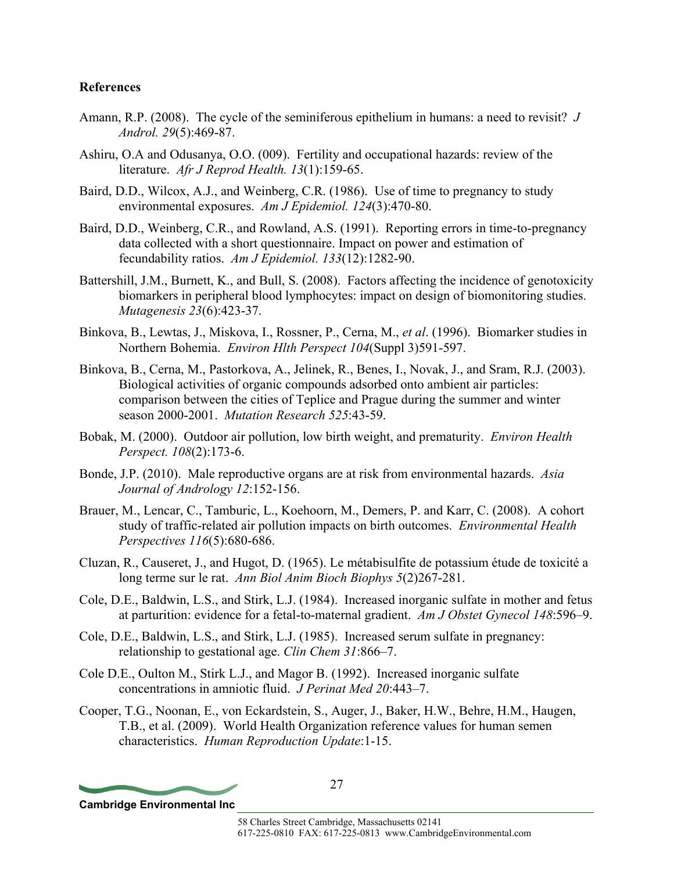#### **References**

- Amann, R.P. (2008). The cycle of the seminiferous epithelium in humans: a need to revisit? *J Androl. 29*(5):469-87.
- Ashiru, O.A and Odusanya, O.O. (009). Fertility and occupational hazards: review of the literature. *Afr J Reprod Health. 13*(1):159-65.
- Baird, D.D., Wilcox, A.J., and Weinberg, C.R. (1986). Use of time to pregnancy to study environmental exposures. *Am J Epidemiol. 124*(3):470-80.
- Baird, D.D., Weinberg, C.R., and Rowland, A.S. (1991). Reporting errors in time-to-pregnancy data collected with a short questionnaire. Impact on power and estimation of fecundability ratios. *Am J Epidemiol. 133*(12):1282-90.
- Battershill, J.M., Burnett, K., and Bull, S. (2008). Factors affecting the incidence of genotoxicity biomarkers in peripheral blood lymphocytes: impact on design of biomonitoring studies. *Mutagenesis 23*(6):423-37.
- Binkova, B., Lewtas, J., Miskova, I., Rossner, P., Cerna, M., *et al*. (1996). Biomarker studies in Northern Bohemia. *Environ Hlth Perspect 104*(Suppl 3)591-597.
- Binkova, B., Cerna, M., Pastorkova, A., Jelinek, R., Benes, I., Novak, J., and Sram, R.J. (2003). Biological activities of organic compounds adsorbed onto ambient air particles: comparison between the cities of Teplice and Prague during the summer and winter season 2000-2001. *Mutation Research 525*:43-59.
- Bobak, M. (2000). Outdoor air pollution, low birth weight, and prematurity. *Environ Health Perspect. 108*(2):173-6.
- Bonde, J.P. (2010). Male reproductive organs are at risk from environmental hazards. *Asia Journal of Andrology 12*:152-156.
- Brauer, M., Lencar, C., Tamburic, L., Koehoorn, M., Demers, P. and Karr, C. (2008). A cohort study of traffic-related air pollution impacts on birth outcomes. *Environmental Health Perspectives 116*(5):680-686.
- Cluzan, R., Causeret, J., and Hugot, D. (1965). Le métabisulfite de potassium étude de toxicité a long terme sur le rat. *Ann Biol Anim Bioch Biophys 5*(2)267-281.
- Cole, D.E., Baldwin, L.S., and Stirk, L.J. (1984). Increased inorganic sulfate in mother and fetus at parturition: evidence for a fetal-to-maternal gradient. *Am J Obstet Gynecol 148*:596–9.
- Cole, D.E., Baldwin, L.S., and Stirk, L.J. (1985). Increased serum sulfate in pregnancy: relationship to gestational age. *Clin Chem 31*:866–7.
- Cole D.E., Oulton M., Stirk L.J., and Magor B. (1992). Increased inorganic sulfate concentrations in amniotic fluid. *J Perinat Med 20*:443–7.
- Cooper, T.G., Noonan, E., von Eckardstein, S., Auger, J., Baker, H.W., Behre, H.M., Haugen, T.B., et al. (2009). World Health Organization reference values for human semen characteristics. *Human Reproduction Update*:1-15.

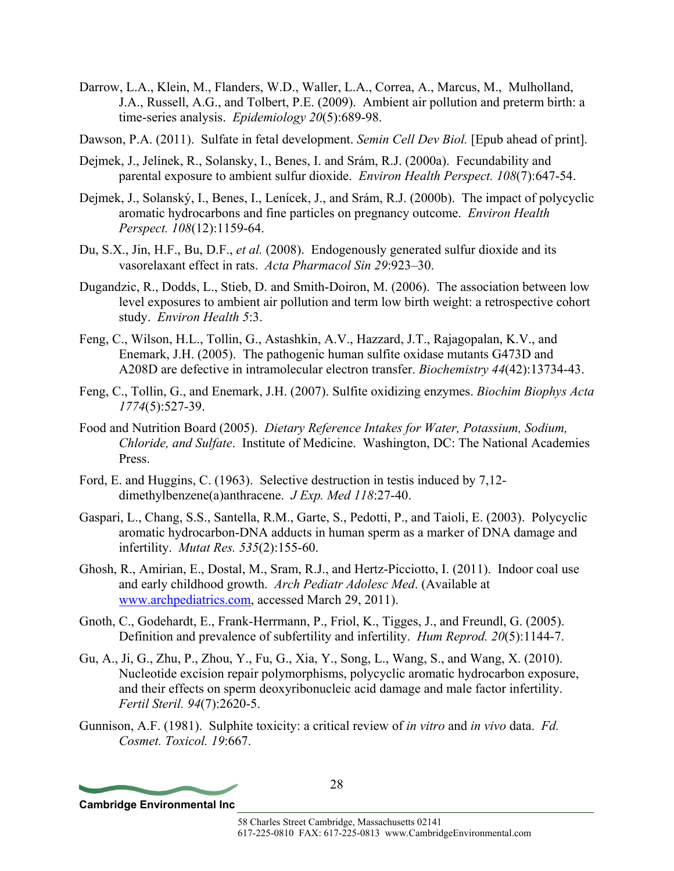- Darrow, L.A., Klein, M., Flanders, W.D., Waller, L.A., Correa, A., Marcus, M., Mulholland, J.A., Russell, A.G., and Tolbert, P.E. (2009). Ambient air pollution and preterm birth: a time-series analysis. *Epidemiology 20*(5):689-98.
- Dawson, P.A. (2011). Sulfate in fetal development. *Semin Cell Dev Biol.* [Epub ahead of print].
- Dejmek, J., Jelínek, R., Solansky, I., Benes, I. and Srám, R.J. (2000a). Fecundability and parental exposure to ambient sulfur dioxide. *Environ Health Perspect. 108*(7):647-54.
- Dejmek, J., Solanský, I., Benes, I., Lenícek, J., and Srám, R.J. (2000b). The impact of polycyclic aromatic hydrocarbons and fine particles on pregnancy outcome. *Environ Health Perspect. 108*(12):1159-64.
- Du, S.X., Jin, H.F., Bu, D.F., *et al.* (2008). Endogenously generated sulfur dioxide and its vasorelaxant effect in rats. *Acta Pharmacol Sin 29*:923–30.
- Dugandzic, R., Dodds, L., Stieb, D. and Smith-Doiron, M. (2006). The association between low level exposures to ambient air pollution and term low birth weight: a retrospective cohort study. *Environ Health 5*:3.
- Feng, C., Wilson, H.L., Tollin, G., Astashkin, A.V., Hazzard, J.T., Rajagopalan, K.V., and Enemark, J.H. (2005). The pathogenic human sulfite oxidase mutants G473D and A208D are defective in intramolecular electron transfer. *Biochemistry 44*(42):13734-43.
- Feng, C., Tollin, G., and Enemark, J.H. (2007). Sulfite oxidizing enzymes. *Biochim Biophys Acta 1774*(5):527-39.
- Food and Nutrition Board (2005). *Dietary Reference Intakes for Water, Potassium, Sodium, Chloride, and Sulfate*. Institute of Medicine. Washington, DC: The National Academies Press.
- Ford, E. and Huggins, C. (1963). Selective destruction in testis induced by 7,12 dimethylbenzene(a)anthracene. *J Exp. Med 118*:27-40.
- Gaspari, L., Chang, S.S., Santella, R.M., Garte, S., Pedotti, P., and Taioli, E. (2003). Polycyclic aromatic hydrocarbon-DNA adducts in human sperm as a marker of DNA damage and infertility. *Mutat Res. 535*(2):155-60.
- Ghosh, R., Amirian, E., Dostal, M., Sram, R.J., and Hertz-Picciotto, I. (2011). Indoor coal use and early childhood growth. *Arch Pediatr Adolesc Med*. (Available at www.archpediatrics.com, accessed March 29, 2011).
- Gnoth, C., Godehardt, E., Frank-Herrmann, P., Friol, K., Tigges, J., and Freundl, G. (2005). Definition and prevalence of subfertility and infertility. *Hum Reprod. 20*(5):1144-7.
- Gu, A., Ji, G., Zhu, P., Zhou, Y., Fu, G., Xia, Y., Song, L., Wang, S., and Wang, X. (2010). Nucleotide excision repair polymorphisms, polycyclic aromatic hydrocarbon exposure, and their effects on sperm deoxyribonucleic acid damage and male factor infertility. *Fertil Steril. 94*(7):2620-5.
- Gunnison, A.F. (1981). Sulphite toxicity: a critical review of *in vitro* and *in vivo* data. *Fd. Cosmet. Toxicol. 19*:667.

**Cambridge Environmental Inc**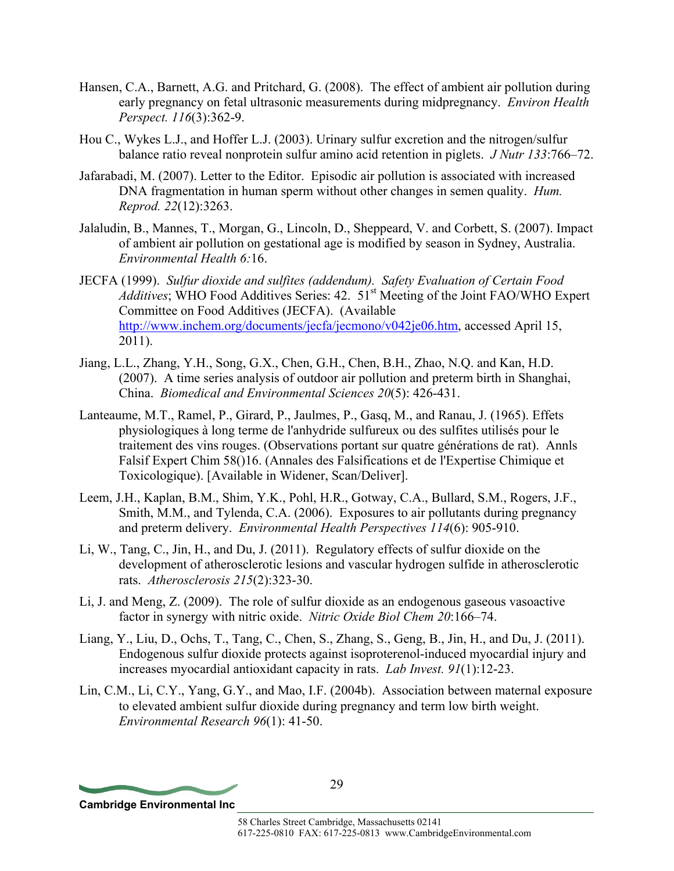- Hansen, C.A., Barnett, A.G. and Pritchard, G. (2008). The effect of ambient air pollution during early pregnancy on fetal ultrasonic measurements during midpregnancy. *Environ Health Perspect. 116*(3):362-9.
- Hou C., Wykes L.J., and Hoffer L.J. (2003). Urinary sulfur excretion and the nitrogen/sulfur balance ratio reveal nonprotein sulfur amino acid retention in piglets. *J Nutr 133*:766–72.
- Jafarabadi, M. (2007). Letter to the Editor. Episodic air pollution is associated with increased DNA fragmentation in human sperm without other changes in semen quality. *Hum. Reprod. 22*(12):3263.
- Jalaludin, B., Mannes, T., Morgan, G., Lincoln, D., Sheppeard, V. and Corbett, S. (2007). Impact of ambient air pollution on gestational age is modified by season in Sydney, Australia. *Environmental Health 6:*16.
- JECFA (1999). *Sulfur dioxide and sulfites (addendum). Safety Evaluation of Certain Food Additives*; WHO Food Additives Series: 42. 51<sup>st</sup> Meeting of the Joint FAO/WHO Expert Committee on Food Additives (JECFA). (Available http://www.inchem.org/documents/jecfa/jecmono/v042je06.htm, accessed April 15, 2011).
- Jiang, L.L., Zhang, Y.H., Song, G.X., Chen, G.H., Chen, B.H., Zhao, N.Q. and Kan, H.D. (2007). A time series analysis of outdoor air pollution and preterm birth in Shanghai, China. *Biomedical and Environmental Sciences 20*(5): 426-431.
- Lanteaume, M.T., Ramel, P., Girard, P., Jaulmes, P., Gasq, M., and Ranau, J. (1965). Effets physiologiques à long terme de l'anhydride sulfureux ou des sulfites utilisés pour le traitement des vins rouges. (Observations portant sur quatre générations de rat). Annls Falsif Expert Chim 58()16. (Annales des Falsifications et de l'Expertise Chimique et Toxicologique). [Available in Widener, Scan/Deliver].
- Leem, J.H., Kaplan, B.M., Shim, Y.K., Pohl, H.R., Gotway, C.A., Bullard, S.M., Rogers, J.F., Smith, M.M., and Tylenda, C.A. (2006). Exposures to air pollutants during pregnancy and preterm delivery. *Environmental Health Perspectives 114*(6): 905-910.
- Li, W., Tang, C., Jin, H., and Du, J. (2011). Regulatory effects of sulfur dioxide on the development of atherosclerotic lesions and vascular hydrogen sulfide in atherosclerotic rats. *Atherosclerosis 215*(2):323-30.
- Li, J. and Meng, Z. (2009). The role of sulfur dioxide as an endogenous gaseous vasoactive factor in synergy with nitric oxide. *Nitric Oxide Biol Chem 20*:166–74.
- Liang, Y., Liu, D., Ochs, T., Tang, C., Chen, S., Zhang, S., Geng, B., Jin, H., and Du, J. (2011). Endogenous sulfur dioxide protects against isoproterenol-induced myocardial injury and increases myocardial antioxidant capacity in rats. *Lab Invest. 91*(1):12-23.
- Lin, C.M., Li, C.Y., Yang, G.Y., and Mao, I.F. (2004b). Association between maternal exposure to elevated ambient sulfur dioxide during pregnancy and term low birth weight. *Environmental Research 96*(1): 41-50.

**Cambridge Environmental Inc**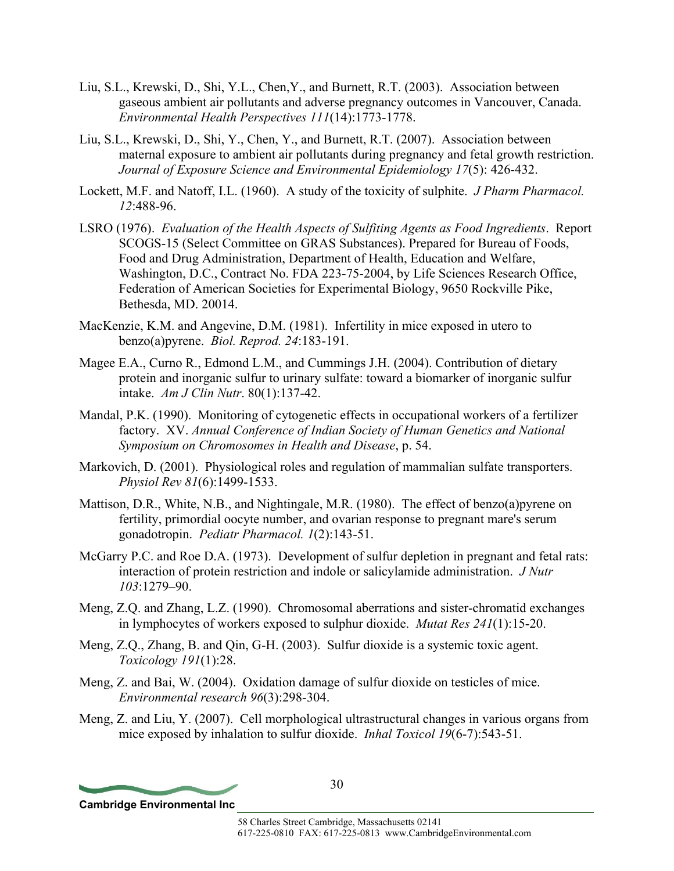- Liu, S.L., Krewski, D., Shi, Y.L., Chen,Y., and Burnett, R.T. (2003). Association between gaseous ambient air pollutants and adverse pregnancy outcomes in Vancouver, Canada. *Environmental Health Perspectives 111*(14):1773-1778.
- Liu, S.L., Krewski, D., Shi, Y., Chen, Y., and Burnett, R.T. (2007). Association between maternal exposure to ambient air pollutants during pregnancy and fetal growth restriction. *Journal of Exposure Science and Environmental Epidemiology 17*(5): 426-432.
- Lockett, M.F. and Natoff, I.L. (1960). A study of the toxicity of sulphite. *J Pharm Pharmacol. 12*:488-96.
- LSRO (1976). *Evaluation of the Health Aspects of Sulfiting Agents as Food Ingredients*. Report SCOGS-15 (Select Committee on GRAS Substances). Prepared for Bureau of Foods, Food and Drug Administration, Department of Health, Education and Welfare, Washington, D.C., Contract No. FDA 223-75-2004, by Life Sciences Research Office, Federation of American Societies for Experimental Biology, 9650 Rockville Pike, Bethesda, MD. 20014.
- MacKenzie, K.M. and Angevine, D.M. (1981). Infertility in mice exposed in utero to benzo(a)pyrene. *Biol. Reprod. 24*:183-191.
- Magee E.A., Curno R., Edmond L.M., and Cummings J.H. (2004). Contribution of dietary protein and inorganic sulfur to urinary sulfate: toward a biomarker of inorganic sulfur intake. *Am J Clin Nutr*. 80(1):137-42.
- Mandal, P.K. (1990). Monitoring of cytogenetic effects in occupational workers of a fertilizer factory. XV. *Annual Conference of Indian Society of Human Genetics and National Symposium on Chromosomes in Health and Disease*, p. 54.
- Markovich, D. (2001). Physiological roles and regulation of mammalian sulfate transporters. *Physiol Rev 81*(6):1499-1533.
- Mattison, D.R., White, N.B., and Nightingale, M.R. (1980). The effect of benzo(a)pyrene on fertility, primordial oocyte number, and ovarian response to pregnant mare's serum gonadotropin. *Pediatr Pharmacol. 1*(2):143-51.
- McGarry P.C. and Roe D.A. (1973). Development of sulfur depletion in pregnant and fetal rats: interaction of protein restriction and indole or salicylamide administration. *J Nutr 103*:1279–90.
- Meng, Z.Q. and Zhang, L.Z. (1990). Chromosomal aberrations and sister-chromatid exchanges in lymphocytes of workers exposed to sulphur dioxide. *Mutat Res 241*(1):15-20.
- Meng, Z.Q., Zhang, B. and Qin, G-H. (2003). Sulfur dioxide is a systemic toxic agent. *Toxicology 191*(1):28.
- Meng, Z. and Bai, W. (2004). Oxidation damage of sulfur dioxide on testicles of mice. *Environmental research 96*(3):298-304.
- Meng, Z. and Liu, Y. (2007). Cell morphological ultrastructural changes in various organs from mice exposed by inhalation to sulfur dioxide. *Inhal Toxicol 19*(6-7):543-51.

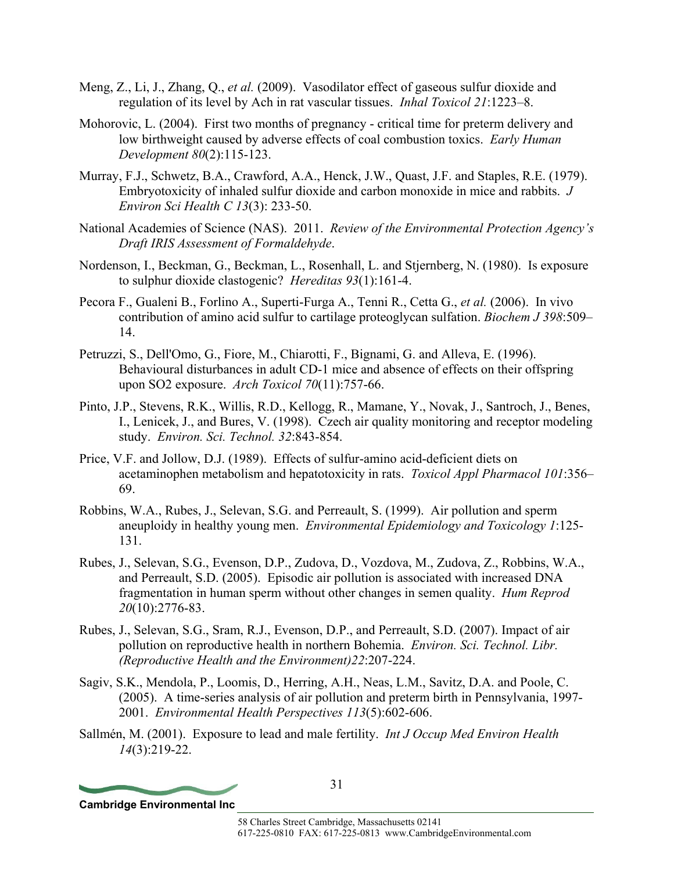- Meng, Z., Li, J., Zhang, Q., *et al.* (2009). Vasodilator effect of gaseous sulfur dioxide and regulation of its level by Ach in rat vascular tissues. *Inhal Toxicol 21*:1223–8.
- Mohorovic, L. (2004). First two months of pregnancy critical time for preterm delivery and low birthweight caused by adverse effects of coal combustion toxics. *Early Human Development 80*(2):115-123.
- Murray, F.J., Schwetz, B.A., Crawford, A.A., Henck, J.W., Quast, J.F. and Staples, R.E. (1979). Embryotoxicity of inhaled sulfur dioxide and carbon monoxide in mice and rabbits. *J Environ Sci Health C 13*(3): 233-50.
- National Academies of Science (NAS). 2011. *Review of the Environmental Protection Agency's Draft IRIS Assessment of Formaldehyde*.
- Nordenson, I., Beckman, G., Beckman, L., Rosenhall, L. and Stjernberg, N. (1980). Is exposure to sulphur dioxide clastogenic? *Hereditas 93*(1):161-4.
- Pecora F., Gualeni B., Forlino A., Superti-Furga A., Tenni R., Cetta G., *et al.* (2006). In vivo contribution of amino acid sulfur to cartilage proteoglycan sulfation. *Biochem J 398*:509– 14.
- Petruzzi, S., Dell'Omo, G., Fiore, M., Chiarotti, F., Bignami, G. and Alleva, E. (1996). Behavioural disturbances in adult CD-1 mice and absence of effects on their offspring upon SO2 exposure. *Arch Toxicol 70*(11):757-66.
- Pinto, J.P., Stevens, R.K., Willis, R.D., Kellogg, R., Mamane, Y., Novak, J., Santroch, J., Benes, I., Lenicek, J., and Bures, V. (1998). Czech air quality monitoring and receptor modeling study. *Environ. Sci. Technol. 32*:843-854.
- Price, V.F. and Jollow, D.J. (1989). Effects of sulfur-amino acid-deficient diets on acetaminophen metabolism and hepatotoxicity in rats. *Toxicol Appl Pharmacol 101*:356– 69.
- Robbins, W.A., Rubes, J., Selevan, S.G. and Perreault, S. (1999). Air pollution and sperm aneuploidy in healthy young men. *Environmental Epidemiology and Toxicology 1*:125- 131.
- Rubes, J., Selevan, S.G., Evenson, D.P., Zudova, D., Vozdova, M., Zudova, Z., Robbins, W.A., and Perreault, S.D. (2005). Episodic air pollution is associated with increased DNA fragmentation in human sperm without other changes in semen quality. *Hum Reprod 20*(10):2776-83.
- Rubes, J., Selevan, S.G., Sram, R.J., Evenson, D.P., and Perreault, S.D. (2007). Impact of air pollution on reproductive health in northern Bohemia. *Environ. Sci. Technol. Libr. (Reproductive Health and the Environment)22*:207-224.
- Sagiv, S.K., Mendola, P., Loomis, D., Herring, A.H., Neas, L.M., Savitz, D.A. and Poole, C. (2005). A time-series analysis of air pollution and preterm birth in Pennsylvania, 1997- 2001. *Environmental Health Perspectives 113*(5):602-606.
- Sallmén, M. (2001). Exposure to lead and male fertility. *Int J Occup Med Environ Health 14*(3):219-22.

**Cambridge Environmental Inc**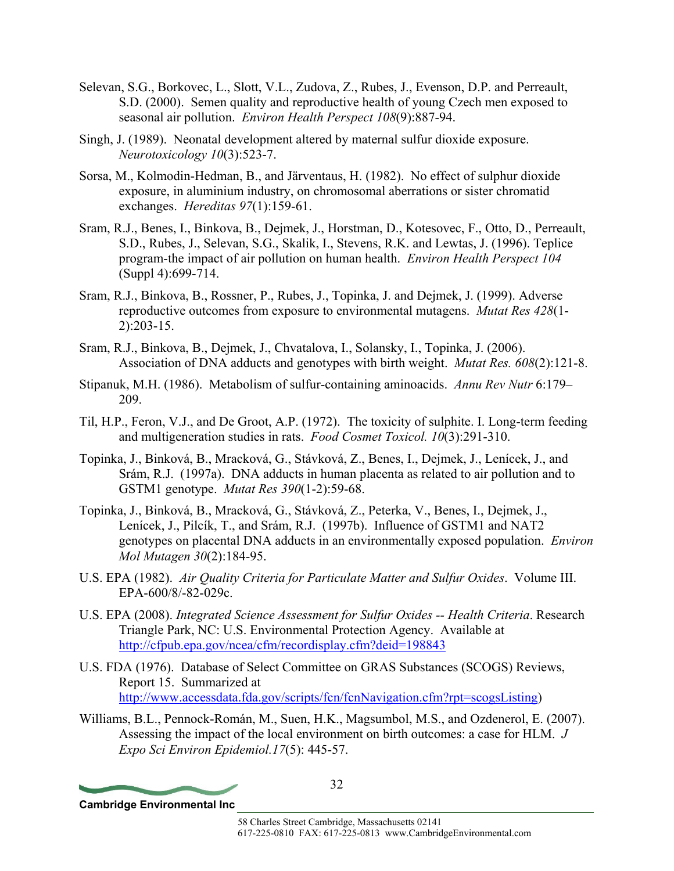- Selevan, S.G., Borkovec, L., Slott, V.L., Zudova, Z., Rubes, J., Evenson, D.P. and Perreault, S.D. (2000). Semen quality and reproductive health of young Czech men exposed to seasonal air pollution. *Environ Health Perspect 108*(9):887-94.
- Singh, J. (1989). Neonatal development altered by maternal sulfur dioxide exposure. *Neurotoxicology 10*(3):523-7.
- Sorsa, M., Kolmodin-Hedman, B., and Järventaus, H. (1982). No effect of sulphur dioxide exposure, in aluminium industry, on chromosomal aberrations or sister chromatid exchanges. *Hereditas 97*(1):159-61.
- Sram, R.J., Benes, I., Binkova, B., Dejmek, J., Horstman, D., Kotesovec, F., Otto, D., Perreault, S.D., Rubes, J., Selevan, S.G., Skalik, I., Stevens, R.K. and Lewtas, J. (1996). Teplice program-the impact of air pollution on human health. *Environ Health Perspect 104*  (Suppl 4):699-714.
- Sram, R.J., Binkova, B., Rossner, P., Rubes, J., Topinka, J. and Dejmek, J. (1999). Adverse reproductive outcomes from exposure to environmental mutagens. *Mutat Res 428*(1- 2):203-15.
- Sram, R.J., Binkova, B., Dejmek, J., Chvatalova, I., Solansky, I., Topinka, J. (2006). Association of DNA adducts and genotypes with birth weight. *Mutat Res. 608*(2):121-8.
- Stipanuk, M.H. (1986). Metabolism of sulfur-containing aminoacids. *Annu Rev Nutr* 6:179– 209.
- Til, H.P., Feron, V.J., and De Groot, A.P. (1972). The toxicity of sulphite. I. Long-term feeding and multigeneration studies in rats. *Food Cosmet Toxicol. 10*(3):291-310.
- Topinka, J., Binková, B., Mracková, G., Stávková, Z., Benes, I., Dejmek, J., Lenícek, J., and Srám, R.J. (1997a). DNA adducts in human placenta as related to air pollution and to GSTM1 genotype. *Mutat Res 390*(1-2):59-68.
- Topinka, J., Binková, B., Mracková, G., Stávková, Z., Peterka, V., Benes, I., Dejmek, J., Lenícek, J., Pilcík, T., and Srám, R.J. (1997b). Influence of GSTM1 and NAT2 genotypes on placental DNA adducts in an environmentally exposed population. *Environ Mol Mutagen 30*(2):184-95.
- U.S. EPA (1982). *Air Quality Criteria for Particulate Matter and Sulfur Oxides*. Volume III. EPA-600/8/-82-029c.
- U.S. EPA (2008). *Integrated Science Assessment for Sulfur Oxides -- Health Criteria*. Research Triangle Park, NC: U.S. Environmental Protection Agency. Available at http://cfpub.epa.gov/ncea/cfm/recordisplay.cfm?deid=198843
- U.S. FDA (1976). Database of Select Committee on GRAS Substances (SCOGS) Reviews, Report 15. Summarized at http://www.accessdata.fda.gov/scripts/fcn/fcnNavigation.cfm?rpt=scogsListing)
- Williams, B.L., Pennock-Román, M., Suen, H.K., Magsumbol, M.S., and Ozdenerol, E. (2007). Assessing the impact of the local environment on birth outcomes: a case for HLM. *J Expo Sci Environ Epidemiol.17*(5): 445-57.